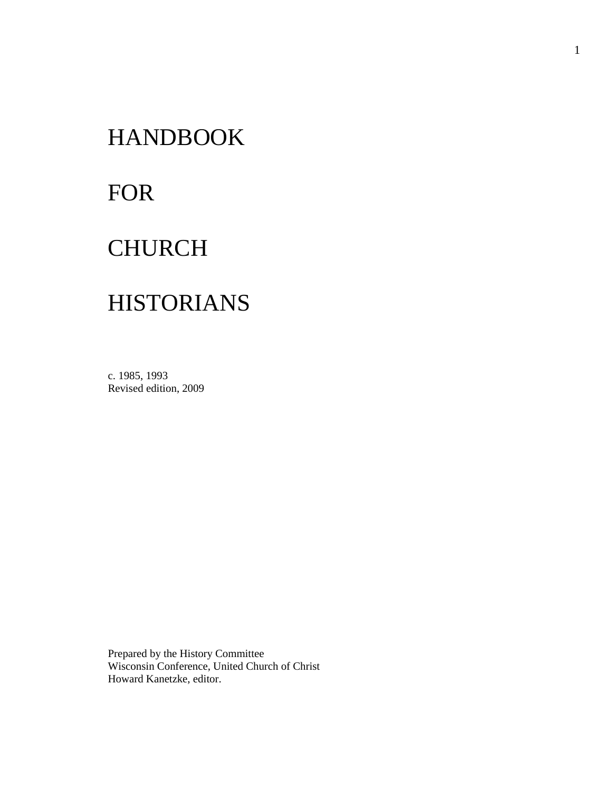# HANDBOOK

# FOR

## **CHURCH**

# HISTORIANS

c. 1985, 1993 Revised edition, 2009

Prepared by the History Committee Wisconsin Conference, United Church of Christ Howard Kanetzke, editor.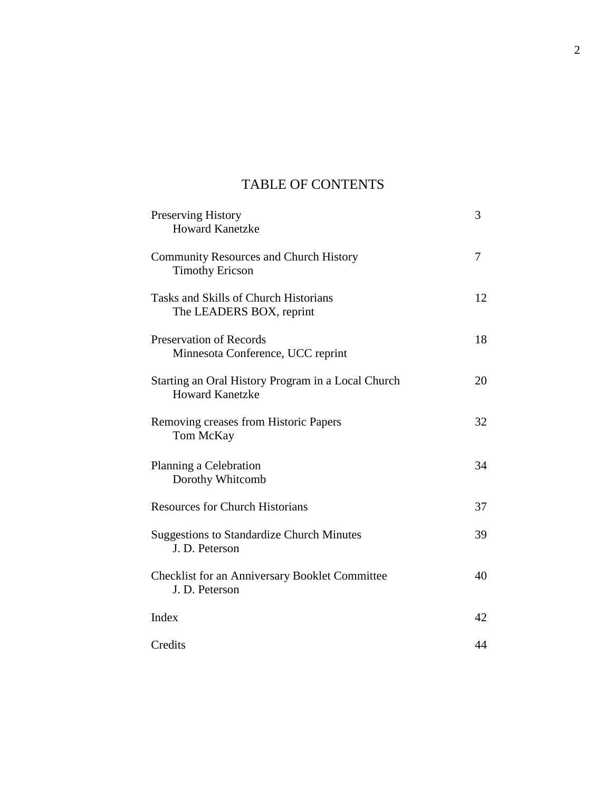## TABLE OF CONTENTS

| Preserving History<br><b>Howard Kanetzke</b>                                 | 3  |
|------------------------------------------------------------------------------|----|
| <b>Community Resources and Church History</b><br><b>Timothy Ericson</b>      | 7  |
| Tasks and Skills of Church Historians<br>The LEADERS BOX, reprint            | 12 |
| <b>Preservation of Records</b><br>Minnesota Conference, UCC reprint          | 18 |
| Starting an Oral History Program in a Local Church<br><b>Howard Kanetzke</b> | 20 |
| Removing creases from Historic Papers<br>Tom McKay                           | 32 |
| Planning a Celebration<br>Dorothy Whitcomb                                   | 34 |
| <b>Resources for Church Historians</b>                                       | 37 |
| <b>Suggestions to Standardize Church Minutes</b><br>J. D. Peterson           | 39 |
| <b>Checklist for an Anniversary Booklet Committee</b><br>J. D. Peterson      | 40 |
| Index                                                                        | 42 |
| Credits                                                                      | 44 |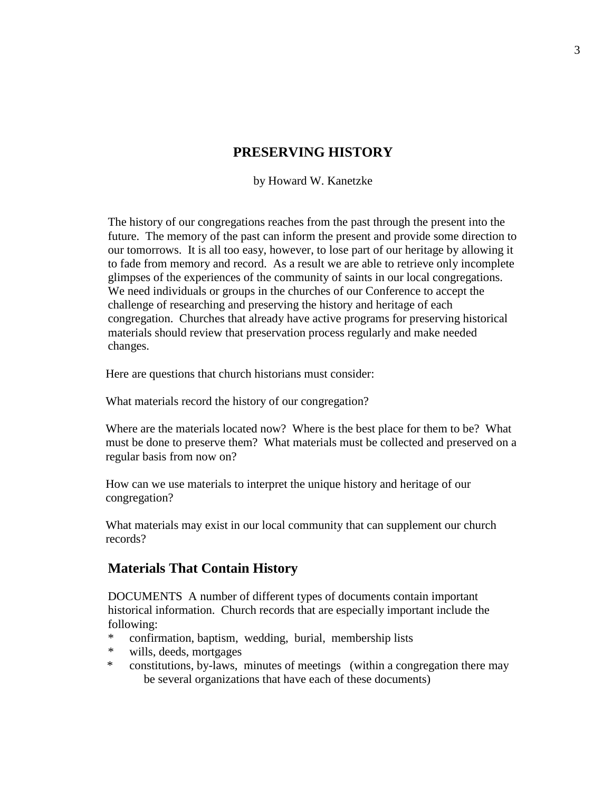## **PRESERVING HISTORY**

by Howard W. Kanetzke

The history of our congregations reaches from the past through the present into the future. The memory of the past can inform the present and provide some direction to our tomorrows. It is all too easy, however, to lose part of our heritage by allowing it to fade from memory and record. As a result we are able to retrieve only incomplete glimpses of the experiences of the community of saints in our local congregations. We need individuals or groups in the churches of our Conference to accept the challenge of researching and preserving the history and heritage of each congregation. Churches that already have active programs for preserving historical materials should review that preservation process regularly and make needed changes.

Here are questions that church historians must consider:

What materials record the history of our congregation?

Where are the materials located now? Where is the best place for them to be? What must be done to preserve them? What materials must be collected and preserved on a regular basis from now on?

How can we use materials to interpret the unique history and heritage of our congregation?

What materials may exist in our local community that can supplement our church records?

#### **Materials That Contain History**

DOCUMENTS A number of different types of documents contain important historical information. Church records that are especially important include the following:

- \* confirmation, baptism, wedding, burial, membership lists
- \* wills, deeds, mortgages
- \* constitutions, by-laws, minutes of meetings (within a congregation there may be several organizations that have each of these documents)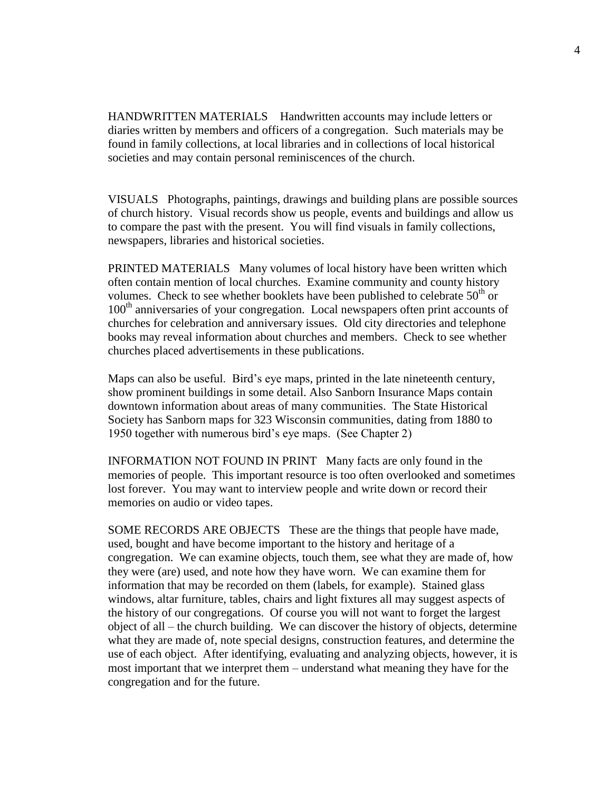HANDWRITTEN MATERIALS Handwritten accounts may include letters or diaries written by members and officers of a congregation. Such materials may be found in family collections, at local libraries and in collections of local historical societies and may contain personal reminiscences of the church.

VISUALS Photographs, paintings, drawings and building plans are possible sources of church history. Visual records show us people, events and buildings and allow us to compare the past with the present. You will find visuals in family collections, newspapers, libraries and historical societies.

PRINTED MATERIALS Many volumes of local history have been written which often contain mention of local churches. Examine community and county history volumes. Check to see whether booklets have been published to celebrate  $50<sup>th</sup>$  or 100<sup>th</sup> anniversaries of your congregation. Local newspapers often print accounts of churches for celebration and anniversary issues. Old city directories and telephone books may reveal information about churches and members. Check to see whether churches placed advertisements in these publications.

Maps can also be useful. Bird's eye maps, printed in the late nineteenth century, show prominent buildings in some detail. Also Sanborn Insurance Maps contain downtown information about areas of many communities. The State Historical Society has Sanborn maps for 323 Wisconsin communities, dating from 1880 to 1950 together with numerous bird's eye maps. (See Chapter 2)

INFORMATION NOT FOUND IN PRINT Many facts are only found in the memories of people. This important resource is too often overlooked and sometimes lost forever. You may want to interview people and write down or record their memories on audio or video tapes.

SOME RECORDS ARE OBJECTS These are the things that people have made, used, bought and have become important to the history and heritage of a congregation. We can examine objects, touch them, see what they are made of, how they were (are) used, and note how they have worn. We can examine them for information that may be recorded on them (labels, for example). Stained glass windows, altar furniture, tables, chairs and light fixtures all may suggest aspects of the history of our congregations. Of course you will not want to forget the largest object of all – the church building. We can discover the history of objects, determine what they are made of, note special designs, construction features, and determine the use of each object. After identifying, evaluating and analyzing objects, however, it is most important that we interpret them – understand what meaning they have for the congregation and for the future.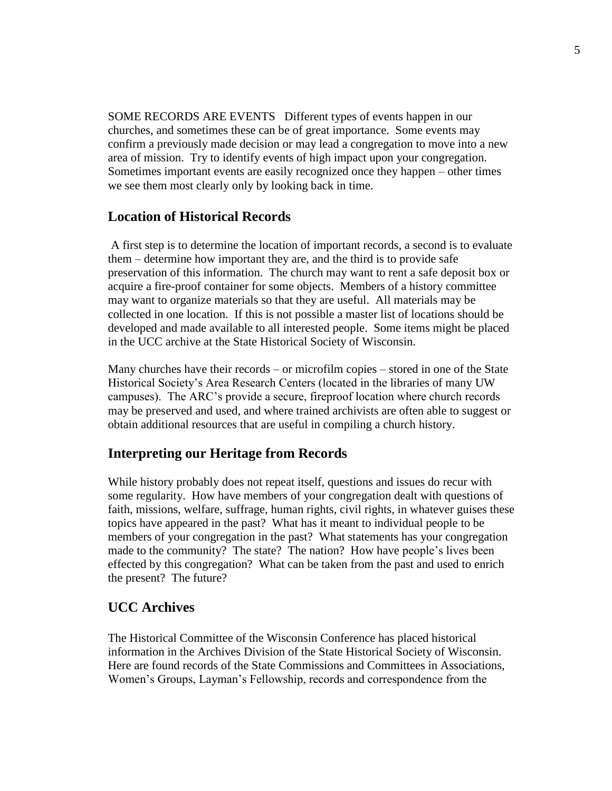SOME RECORDS ARE EVENTS Different types of events happen in our churches, and sometimes these can be of great importance. Some events may confirm a previously made decision or may lead a congregation to move into a new area of mission. Try to identify events of high impact upon your congregation. Sometimes important events are easily recognized once they happen – other times we see them most clearly only by looking back in time.

#### **Location of Historical Records**

A first step is to determine the location of important records, a second is to evaluate them – determine how important they are, and the third is to provide safe preservation of this information. The church may want to rent a safe deposit box or acquire a fire-proof container for some objects. Members of a history committee may want to organize materials so that they are useful. All materials may be collected in one location. If this is not possible a master list of locations should be developed and made available to all interested people. Some items might be placed in the UCC archive at the State Historical Society of Wisconsin.

Many churches have their records – or microfilm copies – stored in one of the State Historical Society's Area Research Centers (located in the libraries of many UW campuses). The ARC's provide a secure, fireproof location where church records may be preserved and used, and where trained archivists are often able to suggest or obtain additional resources that are useful in compiling a church history.

## **Interpreting our Heritage from Records**

While history probably does not repeat itself, questions and issues do recur with some regularity. How have members of your congregation dealt with questions of faith, missions, welfare, suffrage, human rights, civil rights, in whatever guises these topics have appeared in the past? What has it meant to individual people to be members of your congregation in the past? What statements has your congregation made to the community? The state? The nation? How have people's lives been effected by this congregation? What can be taken from the past and used to enrich the present? The future?

## **UCC Archives**

The Historical Committee of the Wisconsin Conference has placed historical information in the Archives Division of the State Historical Society of Wisconsin. Here are found records of the State Commissions and Committees in Associations, Women's Groups, Layman's Fellowship, records and correspondence from the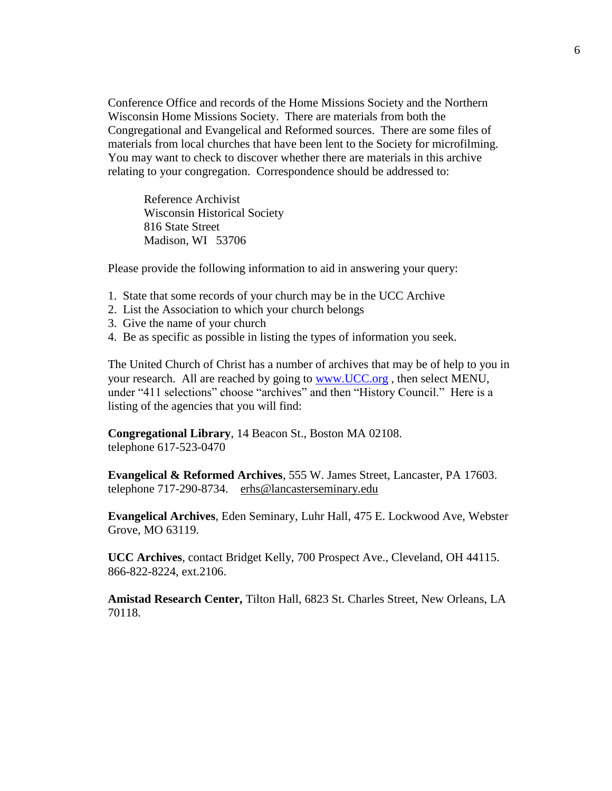Conference Office and records of the Home Missions Society and the Northern Wisconsin Home Missions Society. There are materials from both the Congregational and Evangelical and Reformed sources. There are some files of materials from local churches that have been lent to the Society for microfilming. You may want to check to discover whether there are materials in this archive relating to your congregation. Correspondence should be addressed to:

Reference Archivist Wisconsin Historical Society 816 State Street Madison, WI 53706

Please provide the following information to aid in answering your query:

- 1. State that some records of your church may be in the UCC Archive
- 2. List the Association to which your church belongs
- 3. Give the name of your church
- 4. Be as specific as possible in listing the types of information you seek.

The United Church of Christ has a number of archives that may be of help to you in your research. All are reached by going to [www.UCC.org](http://www.ucc.org/) , then select MENU, under "411 selections" choose "archives" and then "History Council." Here is a listing of the agencies that you will find:

**Congregational Library**, 14 Beacon St., Boston MA 02108. telephone 617-523-0470

**Evangelical & Reformed Archives**, 555 W. James Street, Lancaster, PA 17603. telephone 717-290-8734. erhs@lancasterseminary.edu

**Evangelical Archives**, Eden Seminary, Luhr Hall, 475 E. Lockwood Ave, Webster Grove, MO 63119.

**UCC Archives**, contact Bridget Kelly, 700 Prospect Ave., Cleveland, OH 44115. 866-822-8224, ext.2106.

**Amistad Research Center,** Tilton Hall, 6823 St. Charles Street, New Orleans, LA 70118.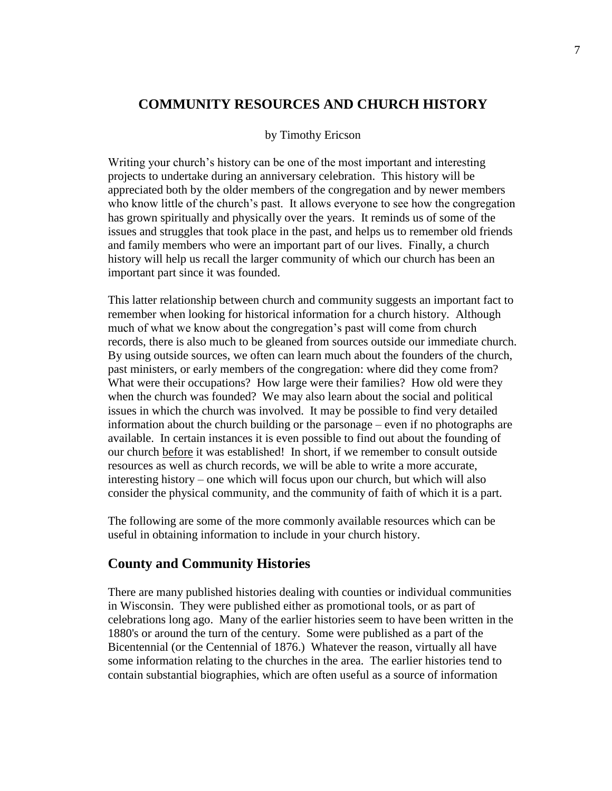#### **COMMUNITY RESOURCES AND CHURCH HISTORY**

#### by Timothy Ericson

Writing your church's history can be one of the most important and interesting projects to undertake during an anniversary celebration. This history will be appreciated both by the older members of the congregation and by newer members who know little of the church's past. It allows everyone to see how the congregation has grown spiritually and physically over the years. It reminds us of some of the issues and struggles that took place in the past, and helps us to remember old friends and family members who were an important part of our lives. Finally, a church history will help us recall the larger community of which our church has been an important part since it was founded.

This latter relationship between church and community suggests an important fact to remember when looking for historical information for a church history. Although much of what we know about the congregation's past will come from church records, there is also much to be gleaned from sources outside our immediate church. By using outside sources, we often can learn much about the founders of the church, past ministers, or early members of the congregation: where did they come from? What were their occupations? How large were their families? How old were they when the church was founded? We may also learn about the social and political issues in which the church was involved. It may be possible to find very detailed information about the church building or the parsonage – even if no photographs are available. In certain instances it is even possible to find out about the founding of our church before it was established! In short, if we remember to consult outside resources as well as church records, we will be able to write a more accurate, interesting history – one which will focus upon our church, but which will also consider the physical community, and the community of faith of which it is a part.

The following are some of the more commonly available resources which can be useful in obtaining information to include in your church history.

#### **County and Community Histories**

There are many published histories dealing with counties or individual communities in Wisconsin. They were published either as promotional tools, or as part of celebrations long ago. Many of the earlier histories seem to have been written in the 1880's or around the turn of the century. Some were published as a part of the Bicentennial (or the Centennial of 1876.) Whatever the reason, virtually all have some information relating to the churches in the area. The earlier histories tend to contain substantial biographies, which are often useful as a source of information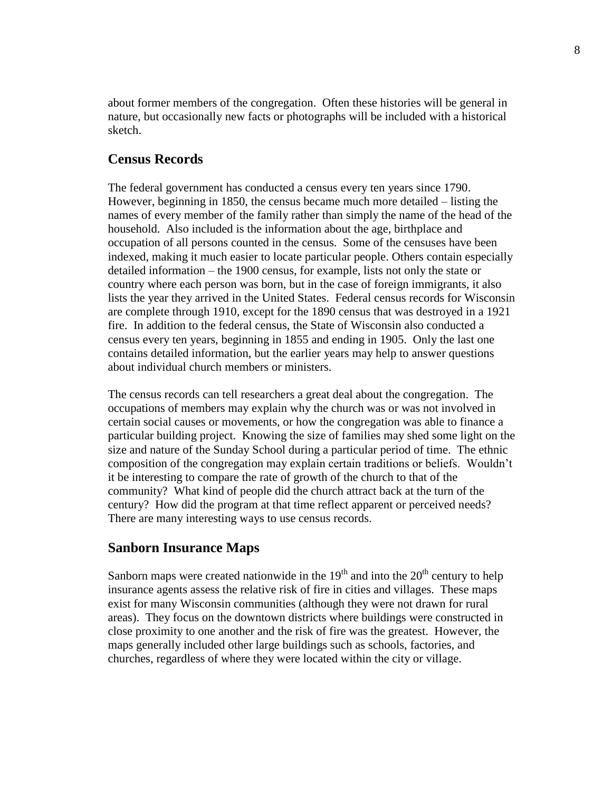about former members of the congregation. Often these histories will be general in nature, but occasionally new facts or photographs will be included with a historical sketch.

### **Census Records**

The federal government has conducted a census every ten years since 1790. However, beginning in 1850, the census became much more detailed – listing the names of every member of the family rather than simply the name of the head of the household. Also included is the information about the age, birthplace and occupation of all persons counted in the census. Some of the censuses have been indexed, making it much easier to locate particular people. Others contain especially detailed information – the 1900 census, for example, lists not only the state or country where each person was born, but in the case of foreign immigrants, it also lists the year they arrived in the United States. Federal census records for Wisconsin are complete through 1910, except for the 1890 census that was destroyed in a 1921 fire. In addition to the federal census, the State of Wisconsin also conducted a census every ten years, beginning in 1855 and ending in 1905. Only the last one contains detailed information, but the earlier years may help to answer questions about individual church members or ministers.

The census records can tell researchers a great deal about the congregation. The occupations of members may explain why the church was or was not involved in certain social causes or movements, or how the congregation was able to finance a particular building project. Knowing the size of families may shed some light on the size and nature of the Sunday School during a particular period of time. The ethnic composition of the congregation may explain certain traditions or beliefs. Wouldn't it be interesting to compare the rate of growth of the church to that of the community? What kind of people did the church attract back at the turn of the century? How did the program at that time reflect apparent or perceived needs? There are many interesting ways to use census records.

#### **Sanborn Insurance Maps**

Sanborn maps were created nationwide in the  $19<sup>th</sup>$  and into the  $20<sup>th</sup>$  century to help insurance agents assess the relative risk of fire in cities and villages. These maps exist for many Wisconsin communities (although they were not drawn for rural areas). They focus on the downtown districts where buildings were constructed in close proximity to one another and the risk of fire was the greatest. However, the maps generally included other large buildings such as schools, factories, and churches, regardless of where they were located within the city or village.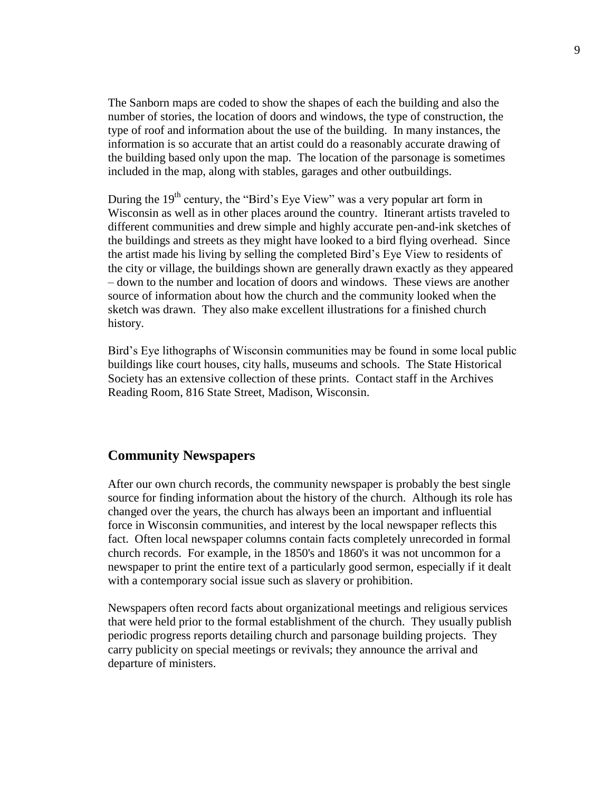The Sanborn maps are coded to show the shapes of each the building and also the number of stories, the location of doors and windows, the type of construction, the type of roof and information about the use of the building. In many instances, the information is so accurate that an artist could do a reasonably accurate drawing of the building based only upon the map. The location of the parsonage is sometimes included in the map, along with stables, garages and other outbuildings.

During the  $19<sup>th</sup>$  century, the "Bird's Eye View" was a very popular art form in Wisconsin as well as in other places around the country. Itinerant artists traveled to different communities and drew simple and highly accurate pen-and-ink sketches of the buildings and streets as they might have looked to a bird flying overhead. Since the artist made his living by selling the completed Bird's Eye View to residents of the city or village, the buildings shown are generally drawn exactly as they appeared – down to the number and location of doors and windows. These views are another source of information about how the church and the community looked when the sketch was drawn. They also make excellent illustrations for a finished church history.

Bird's Eye lithographs of Wisconsin communities may be found in some local public buildings like court houses, city halls, museums and schools. The State Historical Society has an extensive collection of these prints. Contact staff in the Archives Reading Room, 816 State Street, Madison, Wisconsin.

#### **Community Newspapers**

After our own church records, the community newspaper is probably the best single source for finding information about the history of the church. Although its role has changed over the years, the church has always been an important and influential force in Wisconsin communities, and interest by the local newspaper reflects this fact. Often local newspaper columns contain facts completely unrecorded in formal church records. For example, in the 1850's and 1860's it was not uncommon for a newspaper to print the entire text of a particularly good sermon, especially if it dealt with a contemporary social issue such as slavery or prohibition.

Newspapers often record facts about organizational meetings and religious services that were held prior to the formal establishment of the church. They usually publish periodic progress reports detailing church and parsonage building projects. They carry publicity on special meetings or revivals; they announce the arrival and departure of ministers.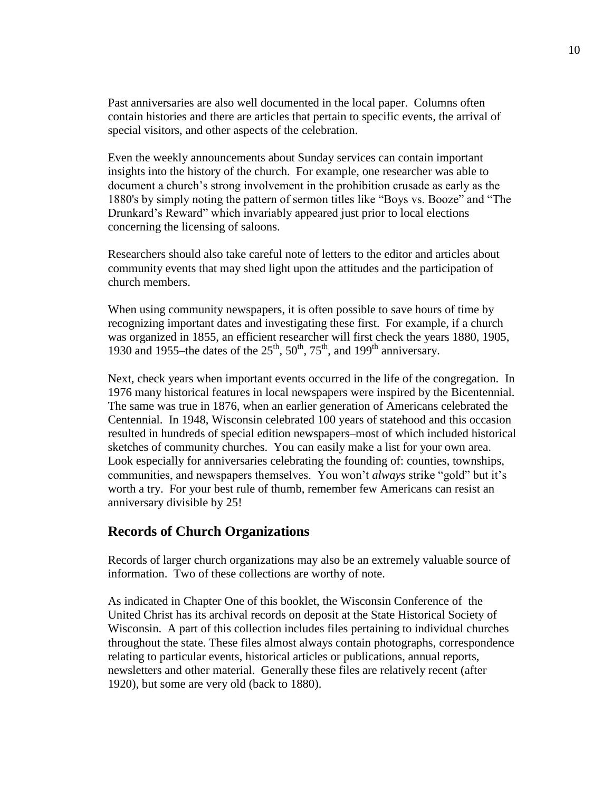Past anniversaries are also well documented in the local paper. Columns often contain histories and there are articles that pertain to specific events, the arrival of special visitors, and other aspects of the celebration.

Even the weekly announcements about Sunday services can contain important insights into the history of the church. For example, one researcher was able to document a church's strong involvement in the prohibition crusade as early as the 1880's by simply noting the pattern of sermon titles like "Boys vs. Booze" and "The Drunkard's Reward" which invariably appeared just prior to local elections concerning the licensing of saloons.

Researchers should also take careful note of letters to the editor and articles about community events that may shed light upon the attitudes and the participation of church members.

When using community newspapers, it is often possible to save hours of time by recognizing important dates and investigating these first. For example, if a church was organized in 1855, an efficient researcher will first check the years 1880, 1905, was organized in 1935, an effective researcher with this effect the year 1930 and 1955–the dates of the  $25<sup>th</sup>$ ,  $50<sup>th</sup>$ ,  $75<sup>th</sup>$ , and 199<sup>th</sup> anniversary.

Next, check years when important events occurred in the life of the congregation. In 1976 many historical features in local newspapers were inspired by the Bicentennial. The same was true in 1876, when an earlier generation of Americans celebrated the Centennial. In 1948, Wisconsin celebrated 100 years of statehood and this occasion resulted in hundreds of special edition newspapers–most of which included historical sketches of community churches. You can easily make a list for your own area. Look especially for anniversaries celebrating the founding of: counties, townships, communities, and newspapers themselves. You won't *always* strike "gold" but it's worth a try. For your best rule of thumb, remember few Americans can resist an anniversary divisible by 25!

#### **Records of Church Organizations**

Records of larger church organizations may also be an extremely valuable source of information. Two of these collections are worthy of note.

As indicated in Chapter One of this booklet, the Wisconsin Conference of the United Christ has its archival records on deposit at the State Historical Society of Wisconsin. A part of this collection includes files pertaining to individual churches throughout the state. These files almost always contain photographs, correspondence relating to particular events, historical articles or publications, annual reports, newsletters and other material. Generally these files are relatively recent (after 1920), but some are very old (back to 1880).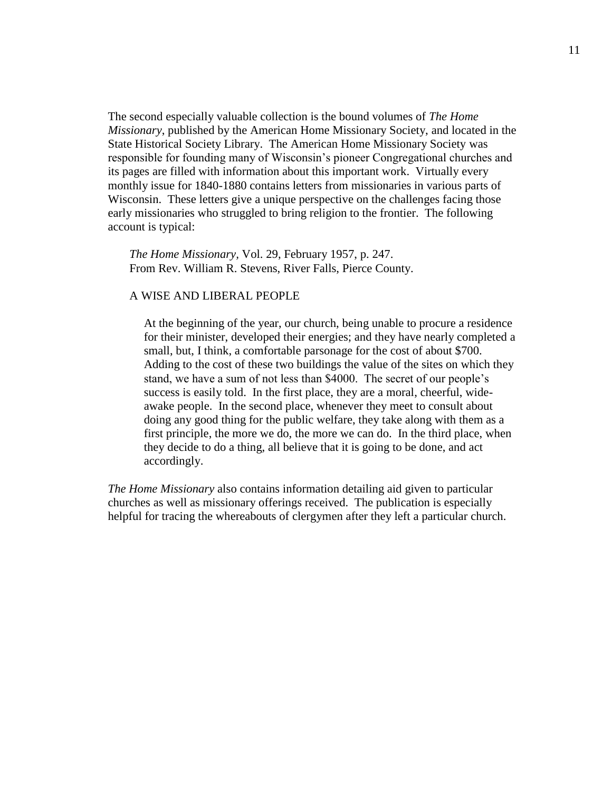The second especially valuable collection is the bound volumes of *The Home Missionary*, published by the American Home Missionary Society, and located in the State Historical Society Library. The American Home Missionary Society was responsible for founding many of Wisconsin's pioneer Congregational churches and its pages are filled with information about this important work. Virtually every monthly issue for 1840-1880 contains letters from missionaries in various parts of Wisconsin. These letters give a unique perspective on the challenges facing those early missionaries who struggled to bring religion to the frontier. The following account is typical:

*The Home Missionary,* Vol. 29, February 1957, p. 247. From Rev. William R. Stevens, River Falls, Pierce County.

#### A WISE AND LIBERAL PEOPLE

At the beginning of the year, our church, being unable to procure a residence for their minister, developed their energies; and they have nearly completed a small, but, I think, a comfortable parsonage for the cost of about \$700. Adding to the cost of these two buildings the value of the sites on which they stand, we have a sum of not less than \$4000. The secret of our people's success is easily told. In the first place, they are a moral, cheerful, wideawake people. In the second place, whenever they meet to consult about doing any good thing for the public welfare, they take along with them as a first principle, the more we do, the more we can do. In the third place, when they decide to do a thing, all believe that it is going to be done, and act accordingly.

*The Home Missionary* also contains information detailing aid given to particular churches as well as missionary offerings received. The publication is especially helpful for tracing the whereabouts of clergymen after they left a particular church.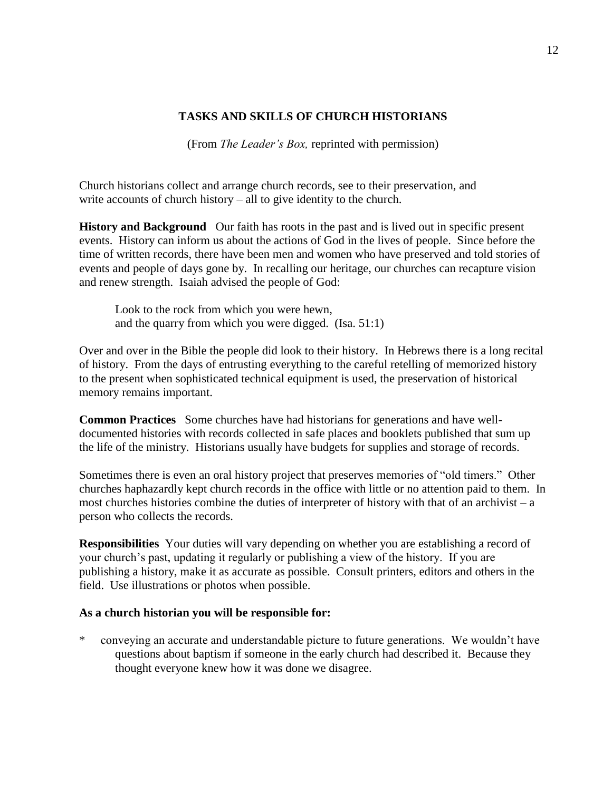#### **TASKS AND SKILLS OF CHURCH HISTORIANS**

(From *The Leader's Box,* reprinted with permission)

Church historians collect and arrange church records, see to their preservation, and write accounts of church history – all to give identity to the church.

**History and Background** Our faith has roots in the past and is lived out in specific present events. History can inform us about the actions of God in the lives of people. Since before the time of written records, there have been men and women who have preserved and told stories of events and people of days gone by. In recalling our heritage, our churches can recapture vision and renew strength. Isaiah advised the people of God:

Look to the rock from which you were hewn, and the quarry from which you were digged. (Isa. 51:1)

Over and over in the Bible the people did look to their history. In Hebrews there is a long recital of history. From the days of entrusting everything to the careful retelling of memorized history to the present when sophisticated technical equipment is used, the preservation of historical memory remains important.

**Common Practices** Some churches have had historians for generations and have welldocumented histories with records collected in safe places and booklets published that sum up the life of the ministry. Historians usually have budgets for supplies and storage of records.

Sometimes there is even an oral history project that preserves memories of "old timers." Other churches haphazardly kept church records in the office with little or no attention paid to them. In most churches histories combine the duties of interpreter of history with that of an archivist –  $a$ person who collects the records.

**Responsibilities** Your duties will vary depending on whether you are establishing a record of your church's past, updating it regularly or publishing a view of the history. If you are publishing a history, make it as accurate as possible. Consult printers, editors and others in the field. Use illustrations or photos when possible.

#### **As a church historian you will be responsible for:**

\* conveying an accurate and understandable picture to future generations. We wouldn't have questions about baptism if someone in the early church had described it. Because they thought everyone knew how it was done we disagree.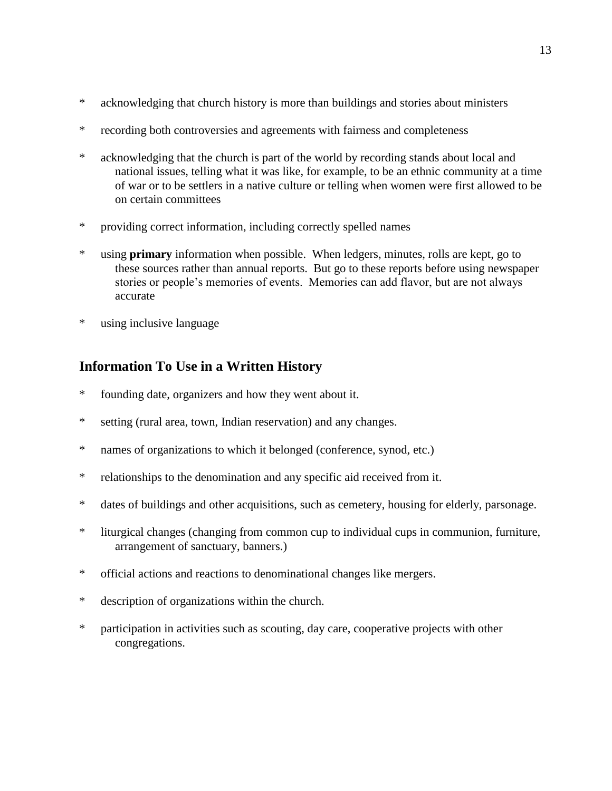- \* acknowledging that church history is more than buildings and stories about ministers
- \* recording both controversies and agreements with fairness and completeness
- \* acknowledging that the church is part of the world by recording stands about local and national issues, telling what it was like, for example, to be an ethnic community at a time of war or to be settlers in a native culture or telling when women were first allowed to be on certain committees
- \* providing correct information, including correctly spelled names
- \* using **primary** information when possible. When ledgers, minutes, rolls are kept, go to these sources rather than annual reports. But go to these reports before using newspaper stories or people's memories of events. Memories can add flavor, but are not always accurate
- \* using inclusive language

## **Information To Use in a Written History**

- \* founding date, organizers and how they went about it.
- \* setting (rural area, town, Indian reservation) and any changes.
- \* names of organizations to which it belonged (conference, synod, etc.)
- \* relationships to the denomination and any specific aid received from it.
- \* dates of buildings and other acquisitions, such as cemetery, housing for elderly, parsonage.
- \* liturgical changes (changing from common cup to individual cups in communion, furniture, arrangement of sanctuary, banners.)
- \* official actions and reactions to denominational changes like mergers.
- \* description of organizations within the church.
- \* participation in activities such as scouting, day care, cooperative projects with other congregations.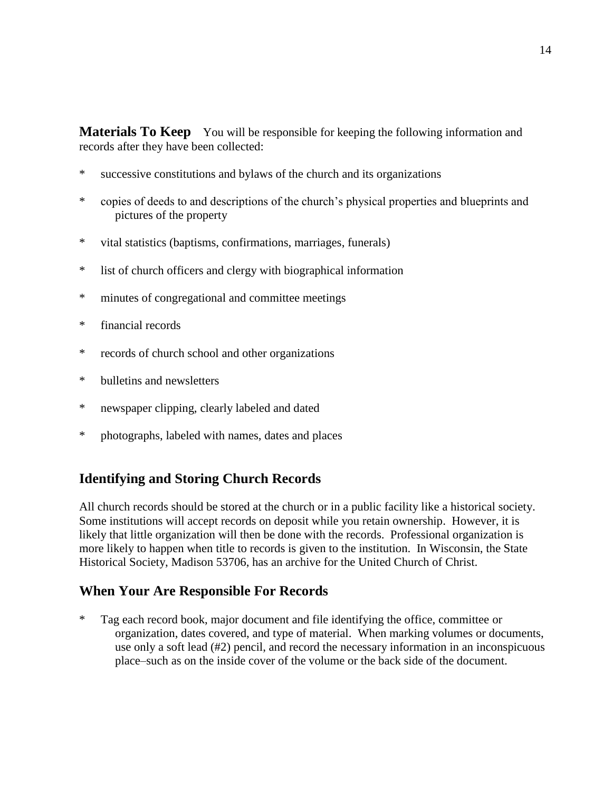**Materials To Keep** You will be responsible for keeping the following information and records after they have been collected:

- \* successive constitutions and bylaws of the church and its organizations
- \* copies of deeds to and descriptions of the church's physical properties and blueprints and pictures of the property
- \* vital statistics (baptisms, confirmations, marriages, funerals)
- \* list of church officers and clergy with biographical information
- \* minutes of congregational and committee meetings
- \* financial records
- \* records of church school and other organizations
- \* bulletins and newsletters
- \* newspaper clipping, clearly labeled and dated
- \* photographs, labeled with names, dates and places

## **Identifying and Storing Church Records**

All church records should be stored at the church or in a public facility like a historical society. Some institutions will accept records on deposit while you retain ownership. However, it is likely that little organization will then be done with the records. Professional organization is more likely to happen when title to records is given to the institution. In Wisconsin, the State Historical Society, Madison 53706, has an archive for the United Church of Christ.

## **When Your Are Responsible For Records**

\* Tag each record book, major document and file identifying the office, committee or organization, dates covered, and type of material. When marking volumes or documents, use only a soft lead (#2) pencil, and record the necessary information in an inconspicuous place–such as on the inside cover of the volume or the back side of the document.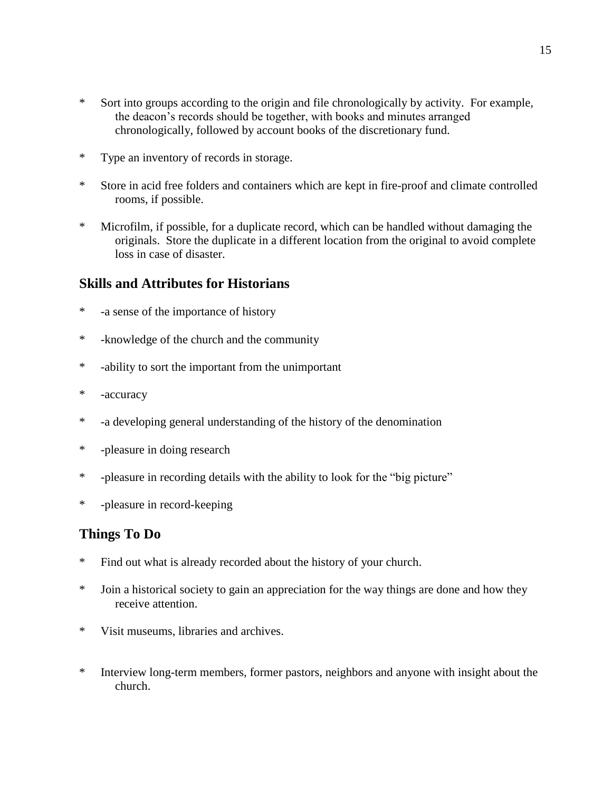- \* Sort into groups according to the origin and file chronologically by activity. For example, the deacon's records should be together, with books and minutes arranged chronologically, followed by account books of the discretionary fund.
- \* Type an inventory of records in storage.
- \* Store in acid free folders and containers which are kept in fire-proof and climate controlled rooms, if possible.
- \* Microfilm, if possible, for a duplicate record, which can be handled without damaging the originals. Store the duplicate in a different location from the original to avoid complete loss in case of disaster.

## **Skills and Attributes for Historians**

- \* -a sense of the importance of history
- \* -knowledge of the church and the community
- \* -ability to sort the important from the unimportant
- \* -accuracy
- \* -a developing general understanding of the history of the denomination
- \* -pleasure in doing research
- \* -pleasure in recording details with the ability to look for the "big picture"
- \* -pleasure in record-keeping

## **Things To Do**

- \* Find out what is already recorded about the history of your church.
- \* Join a historical society to gain an appreciation for the way things are done and how they receive attention.
- \* Visit museums, libraries and archives.
- \* Interview long-term members, former pastors, neighbors and anyone with insight about the church.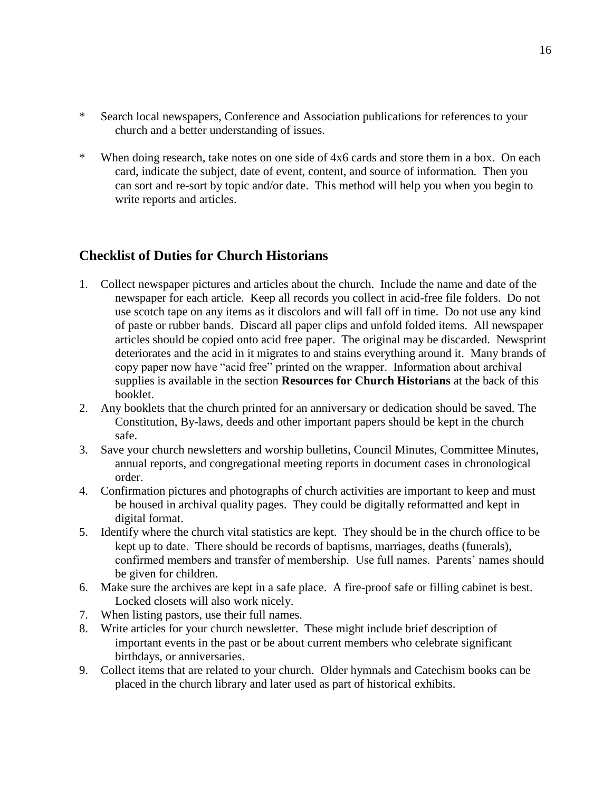- \* Search local newspapers, Conference and Association publications for references to your church and a better understanding of issues.
- \* When doing research, take notes on one side of 4x6 cards and store them in a box. On each card, indicate the subject, date of event, content, and source of information. Then you can sort and re-sort by topic and/or date. This method will help you when you begin to write reports and articles.

## **Checklist of Duties for Church Historians**

- 1. Collect newspaper pictures and articles about the church. Include the name and date of the newspaper for each article. Keep all records you collect in acid-free file folders. Do not use scotch tape on any items as it discolors and will fall off in time. Do not use any kind of paste or rubber bands. Discard all paper clips and unfold folded items. All newspaper articles should be copied onto acid free paper. The original may be discarded. Newsprint deteriorates and the acid in it migrates to and stains everything around it. Many brands of copy paper now have "acid free" printed on the wrapper. Information about archival supplies is available in the section **Resources for Church Historians** at the back of this booklet.
- 2. Any booklets that the church printed for an anniversary or dedication should be saved. The Constitution, By-laws, deeds and other important papers should be kept in the church safe.
- 3. Save your church newsletters and worship bulletins, Council Minutes, Committee Minutes, annual reports, and congregational meeting reports in document cases in chronological order.
- 4. Confirmation pictures and photographs of church activities are important to keep and must be housed in archival quality pages. They could be digitally reformatted and kept in digital format.
- 5. Identify where the church vital statistics are kept. They should be in the church office to be kept up to date. There should be records of baptisms, marriages, deaths (funerals), confirmed members and transfer of membership. Use full names. Parents' names should be given for children.
- 6. Make sure the archives are kept in a safe place. A fire-proof safe or filling cabinet is best. Locked closets will also work nicely.
- 7. When listing pastors, use their full names.
- 8. Write articles for your church newsletter. These might include brief description of important events in the past or be about current members who celebrate significant birthdays, or anniversaries.
- 9. Collect items that are related to your church. Older hymnals and Catechism books can be placed in the church library and later used as part of historical exhibits.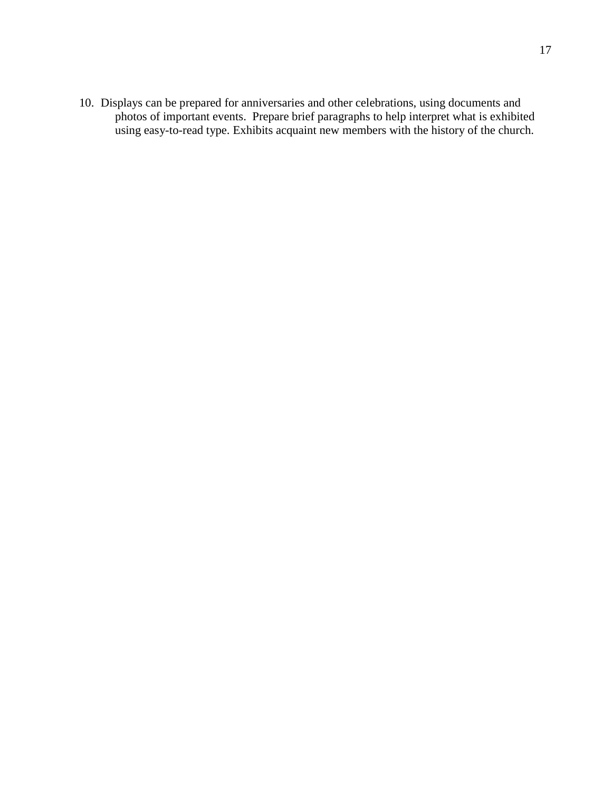10. Displays can be prepared for anniversaries and other celebrations, using documents and photos of important events. Prepare brief paragraphs to help interpret what is exhibited using easy-to-read type. Exhibits acquaint new members with the history of the church.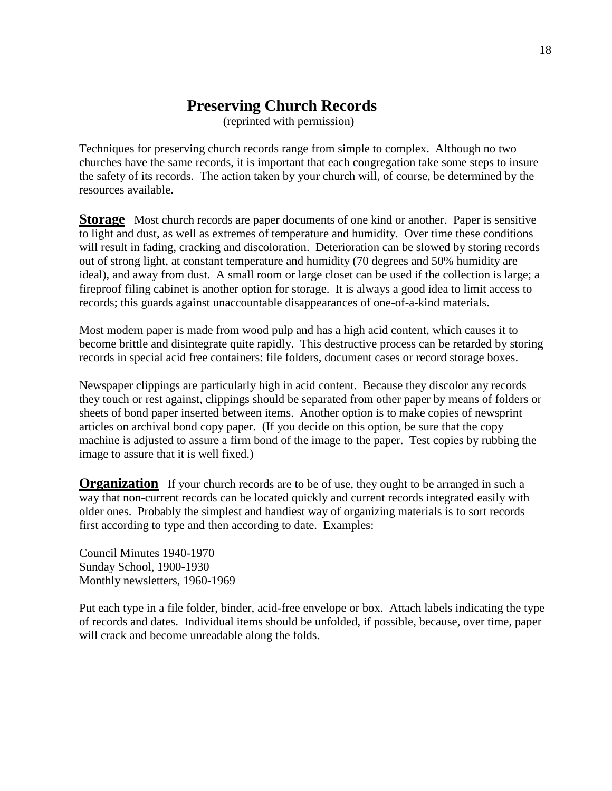## **Preserving Church Records**

(reprinted with permission)

Techniques for preserving church records range from simple to complex. Although no two churches have the same records, it is important that each congregation take some steps to insure the safety of its records. The action taken by your church will, of course, be determined by the resources available.

**Storage** Most church records are paper documents of one kind or another. Paper is sensitive to light and dust, as well as extremes of temperature and humidity. Over time these conditions will result in fading, cracking and discoloration. Deterioration can be slowed by storing records out of strong light, at constant temperature and humidity (70 degrees and 50% humidity are ideal), and away from dust. A small room or large closet can be used if the collection is large; a fireproof filing cabinet is another option for storage. It is always a good idea to limit access to records; this guards against unaccountable disappearances of one-of-a-kind materials.

Most modern paper is made from wood pulp and has a high acid content, which causes it to become brittle and disintegrate quite rapidly. This destructive process can be retarded by storing records in special acid free containers: file folders, document cases or record storage boxes.

Newspaper clippings are particularly high in acid content. Because they discolor any records they touch or rest against, clippings should be separated from other paper by means of folders or sheets of bond paper inserted between items. Another option is to make copies of newsprint articles on archival bond copy paper. (If you decide on this option, be sure that the copy machine is adjusted to assure a firm bond of the image to the paper. Test copies by rubbing the image to assure that it is well fixed.)

**Organization** If your church records are to be of use, they ought to be arranged in such a way that non-current records can be located quickly and current records integrated easily with older ones. Probably the simplest and handiest way of organizing materials is to sort records first according to type and then according to date. Examples:

Council Minutes 1940-1970 Sunday School, 1900-1930 Monthly newsletters, 1960-1969

Put each type in a file folder, binder, acid-free envelope or box. Attach labels indicating the type of records and dates. Individual items should be unfolded, if possible, because, over time, paper will crack and become unreadable along the folds.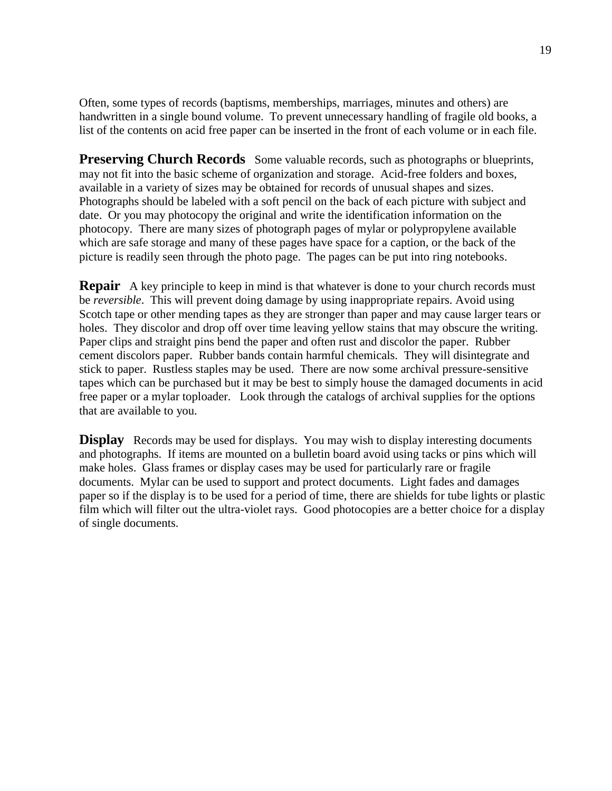Often, some types of records (baptisms, memberships, marriages, minutes and others) are handwritten in a single bound volume. To prevent unnecessary handling of fragile old books, a list of the contents on acid free paper can be inserted in the front of each volume or in each file.

**Preserving Church Records** Some valuable records, such as photographs or blueprints, may not fit into the basic scheme of organization and storage. Acid-free folders and boxes, available in a variety of sizes may be obtained for records of unusual shapes and sizes. Photographs should be labeled with a soft pencil on the back of each picture with subject and date. Or you may photocopy the original and write the identification information on the photocopy. There are many sizes of photograph pages of mylar or polypropylene available which are safe storage and many of these pages have space for a caption, or the back of the picture is readily seen through the photo page. The pages can be put into ring notebooks.

**Repair** A key principle to keep in mind is that whatever is done to your church records must be *reversible*. This will prevent doing damage by using inappropriate repairs. Avoid using Scotch tape or other mending tapes as they are stronger than paper and may cause larger tears or holes. They discolor and drop off over time leaving yellow stains that may obscure the writing. Paper clips and straight pins bend the paper and often rust and discolor the paper. Rubber cement discolors paper. Rubber bands contain harmful chemicals. They will disintegrate and stick to paper. Rustless staples may be used. There are now some archival pressure-sensitive tapes which can be purchased but it may be best to simply house the damaged documents in acid free paper or a mylar toploader. Look through the catalogs of archival supplies for the options that are available to you.

**Display** Records may be used for displays. You may wish to display interesting documents and photographs. If items are mounted on a bulletin board avoid using tacks or pins which will make holes. Glass frames or display cases may be used for particularly rare or fragile documents. Mylar can be used to support and protect documents. Light fades and damages paper so if the display is to be used for a period of time, there are shields for tube lights or plastic film which will filter out the ultra-violet rays. Good photocopies are a better choice for a display of single documents.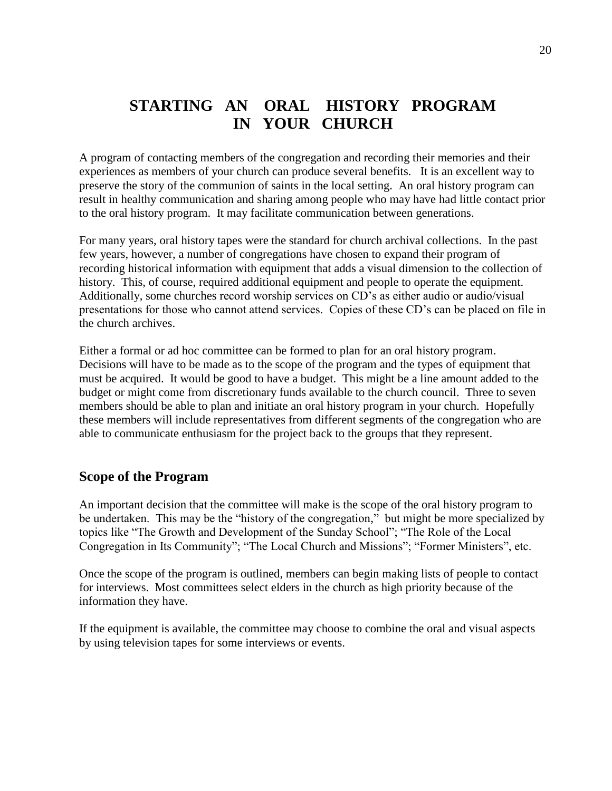## **STARTING AN ORAL HISTORY PROGRAM IN YOUR CHURCH**

A program of contacting members of the congregation and recording their memories and their experiences as members of your church can produce several benefits. It is an excellent way to preserve the story of the communion of saints in the local setting. An oral history program can result in healthy communication and sharing among people who may have had little contact prior to the oral history program. It may facilitate communication between generations.

For many years, oral history tapes were the standard for church archival collections. In the past few years, however, a number of congregations have chosen to expand their program of recording historical information with equipment that adds a visual dimension to the collection of history. This, of course, required additional equipment and people to operate the equipment. Additionally, some churches record worship services on CD's as either audio or audio/visual presentations for those who cannot attend services. Copies of these CD's can be placed on file in the church archives.

Either a formal or ad hoc committee can be formed to plan for an oral history program. Decisions will have to be made as to the scope of the program and the types of equipment that must be acquired. It would be good to have a budget. This might be a line amount added to the budget or might come from discretionary funds available to the church council. Three to seven members should be able to plan and initiate an oral history program in your church. Hopefully these members will include representatives from different segments of the congregation who are able to communicate enthusiasm for the project back to the groups that they represent.

#### **Scope of the Program**

An important decision that the committee will make is the scope of the oral history program to be undertaken. This may be the "history of the congregation," but might be more specialized by topics like "The Growth and Development of the Sunday School"; "The Role of the Local Congregation in Its Community"; "The Local Church and Missions"; "Former Ministers", etc.

Once the scope of the program is outlined, members can begin making lists of people to contact for interviews. Most committees select elders in the church as high priority because of the information they have.

If the equipment is available, the committee may choose to combine the oral and visual aspects by using television tapes for some interviews or events.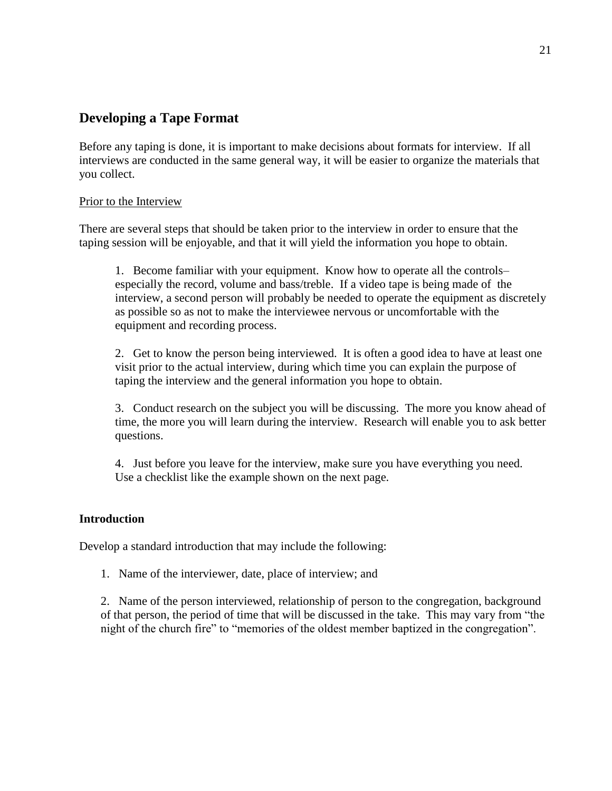## **Developing a Tape Format**

Before any taping is done, it is important to make decisions about formats for interview. If all interviews are conducted in the same general way, it will be easier to organize the materials that you collect.

#### Prior to the Interview

There are several steps that should be taken prior to the interview in order to ensure that the taping session will be enjoyable, and that it will yield the information you hope to obtain.

1. Become familiar with your equipment. Know how to operate all the controls– especially the record, volume and bass/treble. If a video tape is being made of the interview, a second person will probably be needed to operate the equipment as discretely as possible so as not to make the interviewee nervous or uncomfortable with the equipment and recording process.

2. Get to know the person being interviewed. It is often a good idea to have at least one visit prior to the actual interview, during which time you can explain the purpose of taping the interview and the general information you hope to obtain.

3. Conduct research on the subject you will be discussing. The more you know ahead of time, the more you will learn during the interview. Research will enable you to ask better questions.

4. Just before you leave for the interview, make sure you have everything you need. Use a checklist like the example shown on the next page.

#### **Introduction**

Develop a standard introduction that may include the following:

1. Name of the interviewer, date, place of interview; and

2. Name of the person interviewed, relationship of person to the congregation, background of that person, the period of time that will be discussed in the take. This may vary from "the night of the church fire" to "memories of the oldest member baptized in the congregation".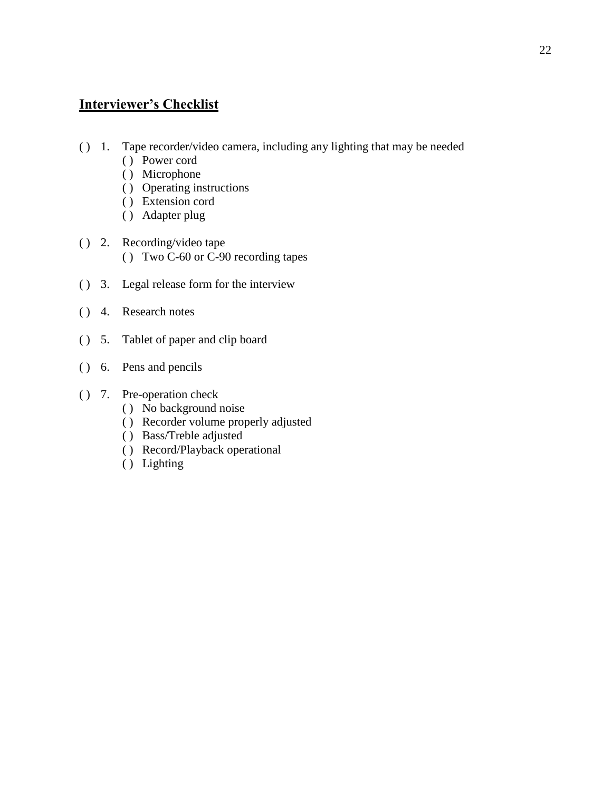## **Interviewer's Checklist**

- ( ) 1. Tape recorder/video camera, including any lighting that may be needed
	- ( ) Power cord
	- ( ) Microphone
	- ( ) Operating instructions
	- ( ) Extension cord
	- ( ) Adapter plug
- ( ) 2. Recording/video tape ( ) Two C-60 or C-90 recording tapes
- ( ) 3. Legal release form for the interview
- ( ) 4. Research notes
- ( ) 5. Tablet of paper and clip board
- ( ) 6. Pens and pencils
- ( ) 7. Pre-operation check
	- ( ) No background noise
	- ( ) Recorder volume properly adjusted
	- ( ) Bass/Treble adjusted
	- ( ) Record/Playback operational
	- ( ) Lighting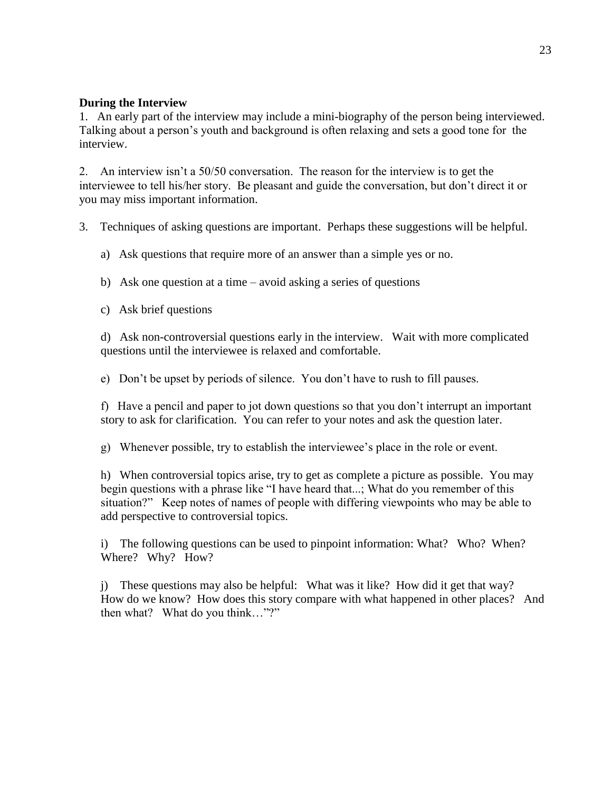#### **During the Interview**

1. An early part of the interview may include a mini-biography of the person being interviewed. Talking about a person's youth and background is often relaxing and sets a good tone for the interview.

2. An interview isn't a 50/50 conversation. The reason for the interview is to get the interviewee to tell his/her story. Be pleasant and guide the conversation, but don't direct it or you may miss important information.

3. Techniques of asking questions are important. Perhaps these suggestions will be helpful.

a) Ask questions that require more of an answer than a simple yes or no.

b) Ask one question at a time – avoid asking a series of questions

c) Ask brief questions

d) Ask non-controversial questions early in the interview. Wait with more complicated questions until the interviewee is relaxed and comfortable.

e) Don't be upset by periods of silence. You don't have to rush to fill pauses.

f) Have a pencil and paper to jot down questions so that you don't interrupt an important story to ask for clarification. You can refer to your notes and ask the question later.

g) Whenever possible, try to establish the interviewee's place in the role or event.

h) When controversial topics arise, try to get as complete a picture as possible. You may begin questions with a phrase like "I have heard that...; What do you remember of this situation?" Keep notes of names of people with differing viewpoints who may be able to add perspective to controversial topics.

i) The following questions can be used to pinpoint information: What? Who? When? Where? Why? How?

j) These questions may also be helpful: What was it like? How did it get that way? How do we know? How does this story compare with what happened in other places? And then what? What do you think…"?"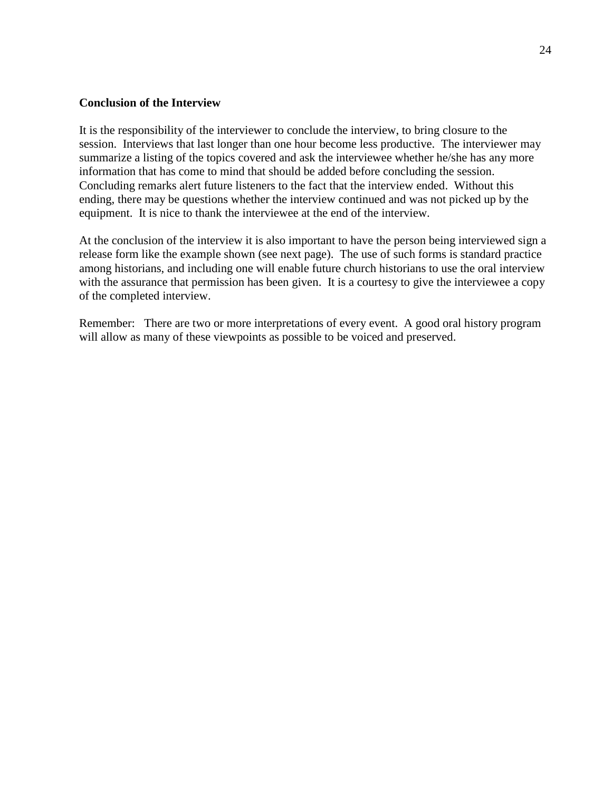#### **Conclusion of the Interview**

It is the responsibility of the interviewer to conclude the interview, to bring closure to the session. Interviews that last longer than one hour become less productive. The interviewer may summarize a listing of the topics covered and ask the interviewee whether he/she has any more information that has come to mind that should be added before concluding the session. Concluding remarks alert future listeners to the fact that the interview ended. Without this ending, there may be questions whether the interview continued and was not picked up by the equipment. It is nice to thank the interviewee at the end of the interview.

At the conclusion of the interview it is also important to have the person being interviewed sign a release form like the example shown (see next page). The use of such forms is standard practice among historians, and including one will enable future church historians to use the oral interview with the assurance that permission has been given. It is a courtesy to give the interviewee a copy of the completed interview.

Remember: There are two or more interpretations of every event. A good oral history program will allow as many of these viewpoints as possible to be voiced and preserved.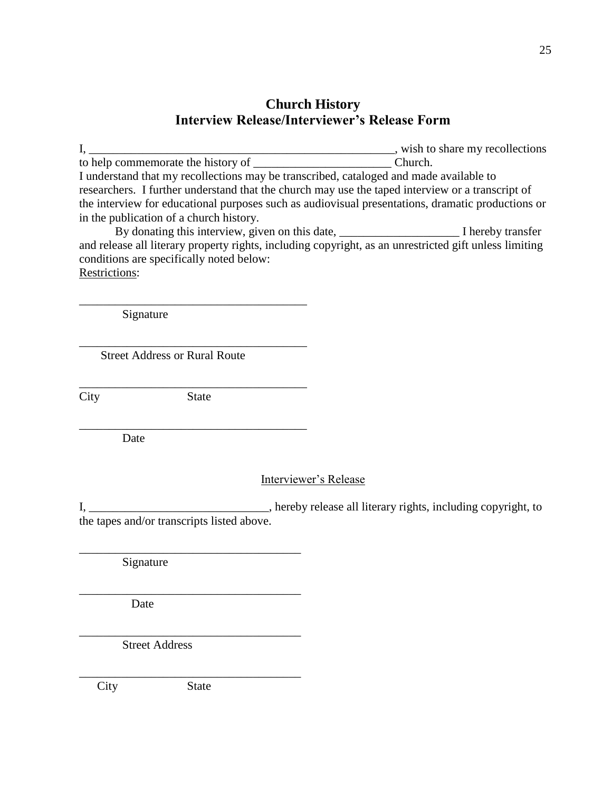## **Church History Interview Release/Interviewer's Release Form**

I, \_\_\_\_\_\_\_\_\_\_\_\_\_\_\_\_\_\_\_\_\_\_\_\_\_\_\_\_\_\_\_\_\_\_\_\_\_\_\_\_\_\_\_\_\_\_\_\_\_\_\_, wish to share my recollections to help commemorate the history of \_\_\_\_\_\_\_\_\_\_\_\_\_\_\_\_\_\_\_\_\_\_\_\_\_\_\_\_\_\_\_\_\_Church. I understand that my recollections may be transcribed, cataloged and made available to researchers. I further understand that the church may use the taped interview or a transcript of the interview for educational purposes such as audiovisual presentations, dramatic productions or in the publication of a church history.

By donating this interview, given on this date, \_\_\_\_\_\_\_\_\_\_\_\_\_\_\_\_\_\_\_\_ I hereby transfer and release all literary property rights, including copyright, as an unrestricted gift unless limiting conditions are specifically noted below: Restrictions:

Signature

Street Address or Rural Route

\_\_\_\_\_\_\_\_\_\_\_\_\_\_\_\_\_\_\_\_\_\_\_\_\_\_\_\_\_\_\_\_\_\_\_\_\_\_ City State

\_\_\_\_\_\_\_\_\_\_\_\_\_\_\_\_\_\_\_\_\_\_\_\_\_\_\_\_\_\_\_\_\_\_\_\_\_\_

\_\_\_\_\_\_\_\_\_\_\_\_\_\_\_\_\_\_\_\_\_\_\_\_\_\_\_\_\_\_\_\_\_\_\_\_\_

\_\_\_\_\_\_\_\_\_\_\_\_\_\_\_\_\_\_\_\_\_\_\_\_\_\_\_\_\_\_\_\_\_\_\_\_\_

\_\_\_\_\_\_\_\_\_\_\_\_\_\_\_\_\_\_\_\_\_\_\_\_\_\_\_\_\_\_\_\_\_\_\_\_\_

\_\_\_\_\_\_\_\_\_\_\_\_\_\_\_\_\_\_\_\_\_\_\_\_\_\_\_\_\_\_\_\_\_\_\_\_\_

\_\_\_\_\_\_\_\_\_\_\_\_\_\_\_\_\_\_\_\_\_\_\_\_\_\_\_\_\_\_\_\_\_\_\_\_\_\_

\_\_\_\_\_\_\_\_\_\_\_\_\_\_\_\_\_\_\_\_\_\_\_\_\_\_\_\_\_\_\_\_\_\_\_\_\_\_

Date

#### Interviewer's Release

I, \_\_\_\_\_\_\_\_\_\_\_\_\_\_\_\_\_\_\_\_\_\_\_\_\_\_\_\_\_\_\_\_\_, hereby release all literary rights, including copyright, to the tapes and/or transcripts listed above.

Signature

Date

Street Address

City State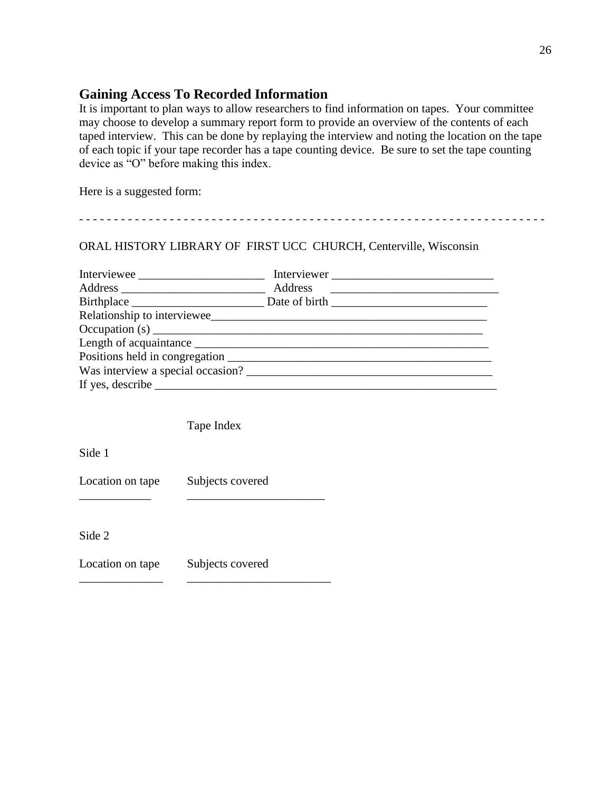## **Gaining Access To Recorded Information**

It is important to plan ways to allow researchers to find information on tapes. Your committee may choose to develop a summary report form to provide an overview of the contents of each taped interview. This can be done by replaying the interview and noting the location on the tape of each topic if your tape recorder has a tape counting device. Be sure to set the tape counting device as "O" before making this index.

- - - - - - - - - - - - - - - - - - - - - - - - - - - - - - - - - - - - - - - - - - - - - - - - - - - - - - - - - - - - - - - - - - -

Here is a suggested form:

## ORAL HISTORY LIBRARY OF FIRST UCC CHURCH, Centerville, Wisconsin

| Interviewee                                                                   | Interviewer |
|-------------------------------------------------------------------------------|-------------|
|                                                                               |             |
|                                                                               |             |
|                                                                               |             |
|                                                                               |             |
|                                                                               |             |
|                                                                               |             |
| Was interview a special occasion?                                             |             |
| If yes, describe $\_\_\_\_\_\_\_\_\_\_\_\_\_\_\_\_\_\_\_\_\_\_\_\_\_\_\_\_\_$ |             |

Tape Index

Side 1

Location on tape Subjects covered

\_\_\_\_\_\_\_\_\_\_\_\_ \_\_\_\_\_\_\_\_\_\_\_\_\_\_\_\_\_\_\_\_\_\_\_

\_\_\_\_\_\_\_\_\_\_\_\_\_\_ \_\_\_\_\_\_\_\_\_\_\_\_\_\_\_\_\_\_\_\_\_\_\_\_

Side 2

Location on tape Subjects covered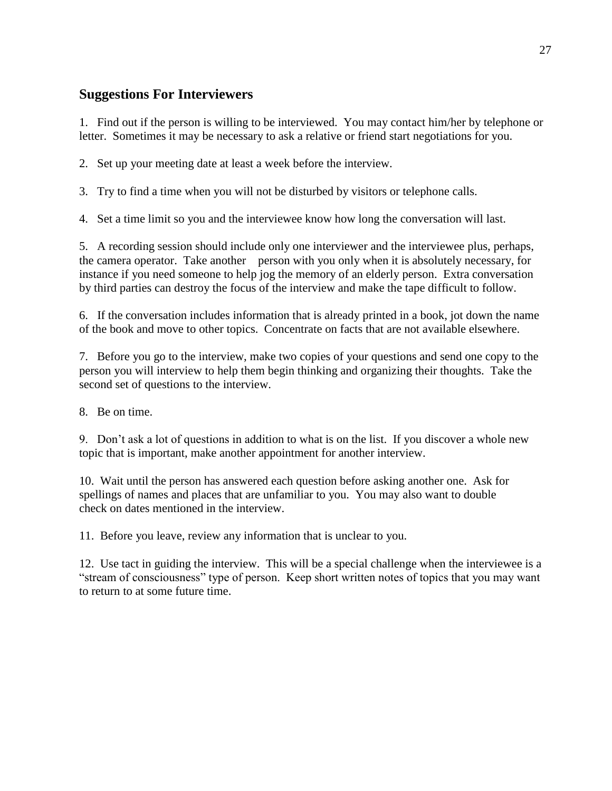## **Suggestions For Interviewers**

1. Find out if the person is willing to be interviewed. You may contact him/her by telephone or letter. Sometimes it may be necessary to ask a relative or friend start negotiations for you.

2. Set up your meeting date at least a week before the interview.

3. Try to find a time when you will not be disturbed by visitors or telephone calls.

4. Set a time limit so you and the interviewee know how long the conversation will last.

5. A recording session should include only one interviewer and the interviewee plus, perhaps, the camera operator. Take another person with you only when it is absolutely necessary, for instance if you need someone to help jog the memory of an elderly person. Extra conversation by third parties can destroy the focus of the interview and make the tape difficult to follow.

6. If the conversation includes information that is already printed in a book, jot down the name of the book and move to other topics. Concentrate on facts that are not available elsewhere.

7. Before you go to the interview, make two copies of your questions and send one copy to the person you will interview to help them begin thinking and organizing their thoughts. Take the second set of questions to the interview.

8. Be on time.

9. Don't ask a lot of questions in addition to what is on the list. If you discover a whole new topic that is important, make another appointment for another interview.

10. Wait until the person has answered each question before asking another one. Ask for spellings of names and places that are unfamiliar to you. You may also want to double check on dates mentioned in the interview.

11. Before you leave, review any information that is unclear to you.

12. Use tact in guiding the interview. This will be a special challenge when the interviewee is a "stream of consciousness" type of person. Keep short written notes of topics that you may want to return to at some future time.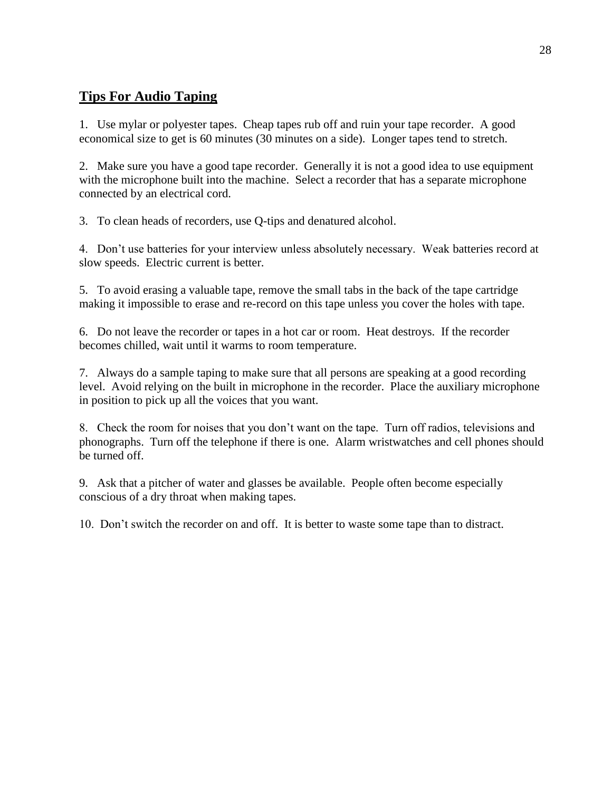## **Tips For Audio Taping**

1. Use mylar or polyester tapes. Cheap tapes rub off and ruin your tape recorder. A good economical size to get is 60 minutes (30 minutes on a side). Longer tapes tend to stretch.

2. Make sure you have a good tape recorder. Generally it is not a good idea to use equipment with the microphone built into the machine. Select a recorder that has a separate microphone connected by an electrical cord.

3. To clean heads of recorders, use Q-tips and denatured alcohol.

4. Don't use batteries for your interview unless absolutely necessary. Weak batteries record at slow speeds. Electric current is better.

5. To avoid erasing a valuable tape, remove the small tabs in the back of the tape cartridge making it impossible to erase and re-record on this tape unless you cover the holes with tape.

6. Do not leave the recorder or tapes in a hot car or room. Heat destroys. If the recorder becomes chilled, wait until it warms to room temperature.

7. Always do a sample taping to make sure that all persons are speaking at a good recording level. Avoid relying on the built in microphone in the recorder. Place the auxiliary microphone in position to pick up all the voices that you want.

8. Check the room for noises that you don't want on the tape. Turn off radios, televisions and phonographs. Turn off the telephone if there is one. Alarm wristwatches and cell phones should be turned off.

9. Ask that a pitcher of water and glasses be available. People often become especially conscious of a dry throat when making tapes.

10. Don't switch the recorder on and off. It is better to waste some tape than to distract.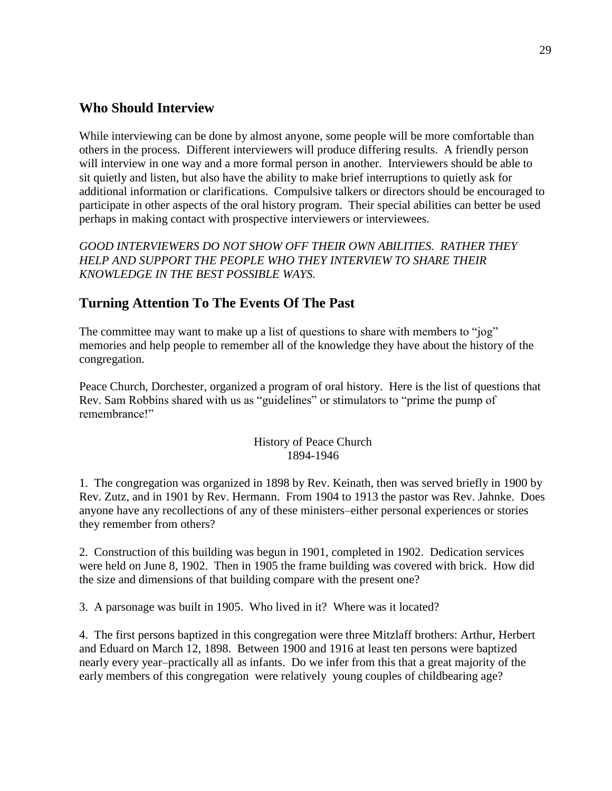### **Who Should Interview**

While interviewing can be done by almost anyone, some people will be more comfortable than others in the process. Different interviewers will produce differing results. A friendly person will interview in one way and a more formal person in another. Interviewers should be able to sit quietly and listen, but also have the ability to make brief interruptions to quietly ask for additional information or clarifications. Compulsive talkers or directors should be encouraged to participate in other aspects of the oral history program. Their special abilities can better be used perhaps in making contact with prospective interviewers or interviewees.

*GOOD INTERVIEWERS DO NOT SHOW OFF THEIR OWN ABILITIES. RATHER THEY HELP AND SUPPORT THE PEOPLE WHO THEY INTERVIEW TO SHARE THEIR KNOWLEDGE IN THE BEST POSSIBLE WAYS.*

## **Turning Attention To The Events Of The Past**

The committee may want to make up a list of questions to share with members to "jog" memories and help people to remember all of the knowledge they have about the history of the congregation.

Peace Church, Dorchester, organized a program of oral history. Here is the list of questions that Rev. Sam Robbins shared with us as "guidelines" or stimulators to "prime the pump of remembrance!"

#### History of Peace Church 1894-1946

1. The congregation was organized in 1898 by Rev. Keinath, then was served briefly in 1900 by Rev. Zutz, and in 1901 by Rev. Hermann. From 1904 to 1913 the pastor was Rev. Jahnke. Does anyone have any recollections of any of these ministers–either personal experiences or stories they remember from others?

2. Construction of this building was begun in 1901, completed in 1902. Dedication services were held on June 8, 1902. Then in 1905 the frame building was covered with brick. How did the size and dimensions of that building compare with the present one?

3. A parsonage was built in 1905. Who lived in it? Where was it located?

4. The first persons baptized in this congregation were three Mitzlaff brothers: Arthur, Herbert and Eduard on March 12, 1898. Between 1900 and 1916 at least ten persons were baptized nearly every year–practically all as infants. Do we infer from this that a great majority of the early members of this congregation were relatively young couples of childbearing age?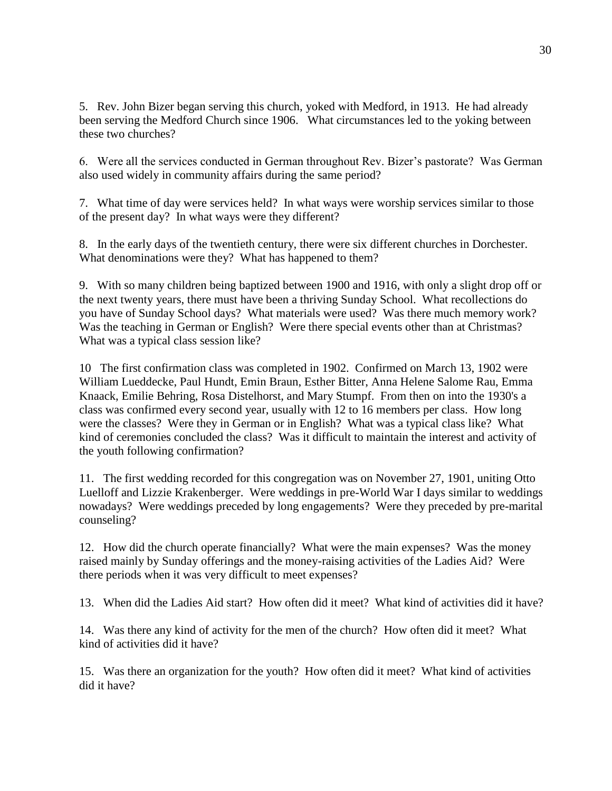5. Rev. John Bizer began serving this church, yoked with Medford, in 1913. He had already been serving the Medford Church since 1906. What circumstances led to the yoking between these two churches?

6. Were all the services conducted in German throughout Rev. Bizer's pastorate? Was German also used widely in community affairs during the same period?

7. What time of day were services held? In what ways were worship services similar to those of the present day? In what ways were they different?

8. In the early days of the twentieth century, there were six different churches in Dorchester. What denominations were they? What has happened to them?

9. With so many children being baptized between 1900 and 1916, with only a slight drop off or the next twenty years, there must have been a thriving Sunday School. What recollections do you have of Sunday School days? What materials were used? Was there much memory work? Was the teaching in German or English? Were there special events other than at Christmas? What was a typical class session like?

10 The first confirmation class was completed in 1902. Confirmed on March 13, 1902 were William Lueddecke, Paul Hundt, Emin Braun, Esther Bitter, Anna Helene Salome Rau, Emma Knaack, Emilie Behring, Rosa Distelhorst, and Mary Stumpf. From then on into the 1930's a class was confirmed every second year, usually with 12 to 16 members per class. How long were the classes? Were they in German or in English? What was a typical class like? What kind of ceremonies concluded the class? Was it difficult to maintain the interest and activity of the youth following confirmation?

11. The first wedding recorded for this congregation was on November 27, 1901, uniting Otto Luelloff and Lizzie Krakenberger. Were weddings in pre-World War I days similar to weddings nowadays? Were weddings preceded by long engagements? Were they preceded by pre-marital counseling?

12. How did the church operate financially? What were the main expenses? Was the money raised mainly by Sunday offerings and the money-raising activities of the Ladies Aid? Were there periods when it was very difficult to meet expenses?

13. When did the Ladies Aid start? How often did it meet? What kind of activities did it have?

14. Was there any kind of activity for the men of the church? How often did it meet? What kind of activities did it have?

15. Was there an organization for the youth? How often did it meet? What kind of activities did it have?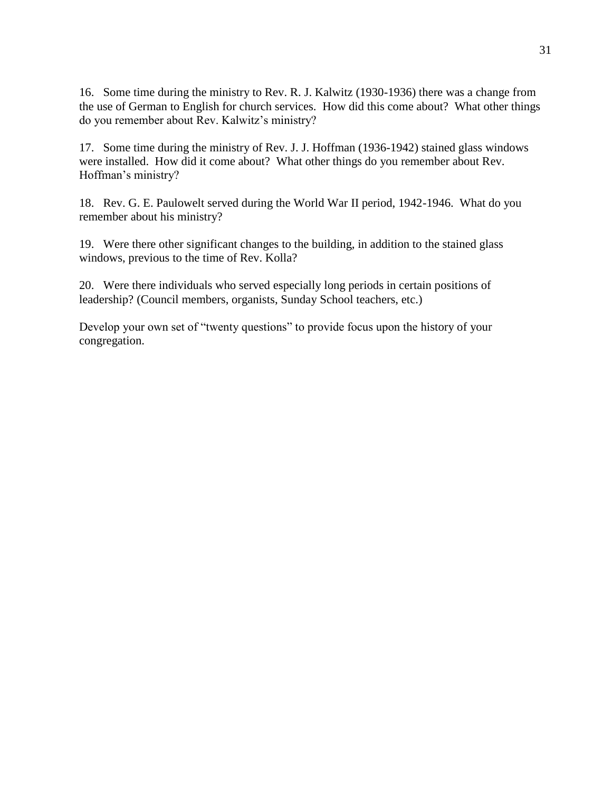16. Some time during the ministry to Rev. R. J. Kalwitz (1930-1936) there was a change from the use of German to English for church services. How did this come about? What other things do you remember about Rev. Kalwitz's ministry?

17. Some time during the ministry of Rev. J. J. Hoffman (1936-1942) stained glass windows were installed. How did it come about? What other things do you remember about Rev. Hoffman's ministry?

18. Rev. G. E. Paulowelt served during the World War II period, 1942-1946. What do you remember about his ministry?

19. Were there other significant changes to the building, in addition to the stained glass windows, previous to the time of Rev. Kolla?

20. Were there individuals who served especially long periods in certain positions of leadership? (Council members, organists, Sunday School teachers, etc.)

Develop your own set of "twenty questions" to provide focus upon the history of your congregation.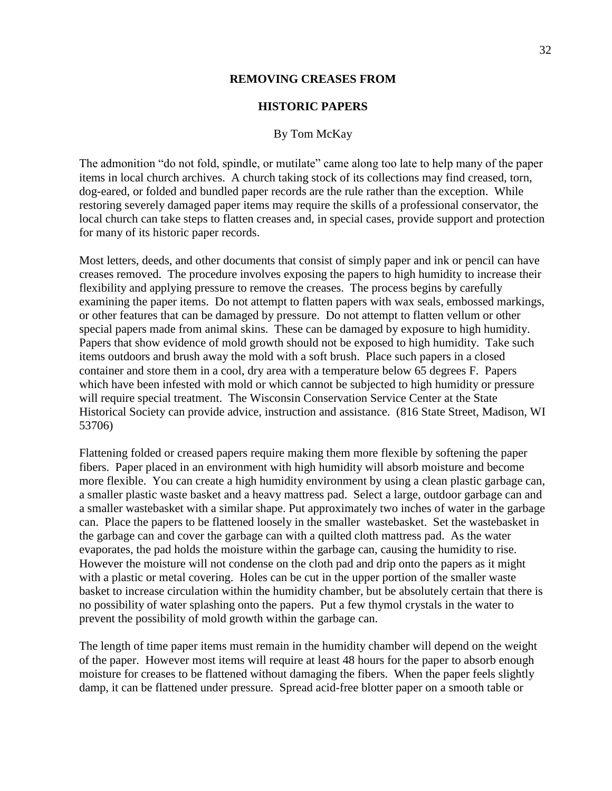#### **REMOVING CREASES FROM**

#### **HISTORIC PAPERS**

#### By Tom McKay

The admonition "do not fold, spindle, or mutilate" came along too late to help many of the paper items in local church archives. A church taking stock of its collections may find creased, torn, dog-eared, or folded and bundled paper records are the rule rather than the exception. While restoring severely damaged paper items may require the skills of a professional conservator, the local church can take steps to flatten creases and, in special cases, provide support and protection for many of its historic paper records.

Most letters, deeds, and other documents that consist of simply paper and ink or pencil can have creases removed. The procedure involves exposing the papers to high humidity to increase their flexibility and applying pressure to remove the creases. The process begins by carefully examining the paper items. Do not attempt to flatten papers with wax seals, embossed markings, or other features that can be damaged by pressure. Do not attempt to flatten vellum or other special papers made from animal skins. These can be damaged by exposure to high humidity. Papers that show evidence of mold growth should not be exposed to high humidity. Take such items outdoors and brush away the mold with a soft brush. Place such papers in a closed container and store them in a cool, dry area with a temperature below 65 degrees F. Papers which have been infested with mold or which cannot be subjected to high humidity or pressure will require special treatment. The Wisconsin Conservation Service Center at the State Historical Society can provide advice, instruction and assistance. (816 State Street, Madison, WI 53706)

Flattening folded or creased papers require making them more flexible by softening the paper fibers. Paper placed in an environment with high humidity will absorb moisture and become more flexible. You can create a high humidity environment by using a clean plastic garbage can, a smaller plastic waste basket and a heavy mattress pad. Select a large, outdoor garbage can and a smaller wastebasket with a similar shape. Put approximately two inches of water in the garbage can. Place the papers to be flattened loosely in the smaller wastebasket. Set the wastebasket in the garbage can and cover the garbage can with a quilted cloth mattress pad. As the water evaporates, the pad holds the moisture within the garbage can, causing the humidity to rise. However the moisture will not condense on the cloth pad and drip onto the papers as it might with a plastic or metal covering. Holes can be cut in the upper portion of the smaller waste basket to increase circulation within the humidity chamber, but be absolutely certain that there is no possibility of water splashing onto the papers. Put a few thymol crystals in the water to prevent the possibility of mold growth within the garbage can.

The length of time paper items must remain in the humidity chamber will depend on the weight of the paper. However most items will require at least 48 hours for the paper to absorb enough moisture for creases to be flattened without damaging the fibers. When the paper feels slightly damp, it can be flattened under pressure. Spread acid-free blotter paper on a smooth table or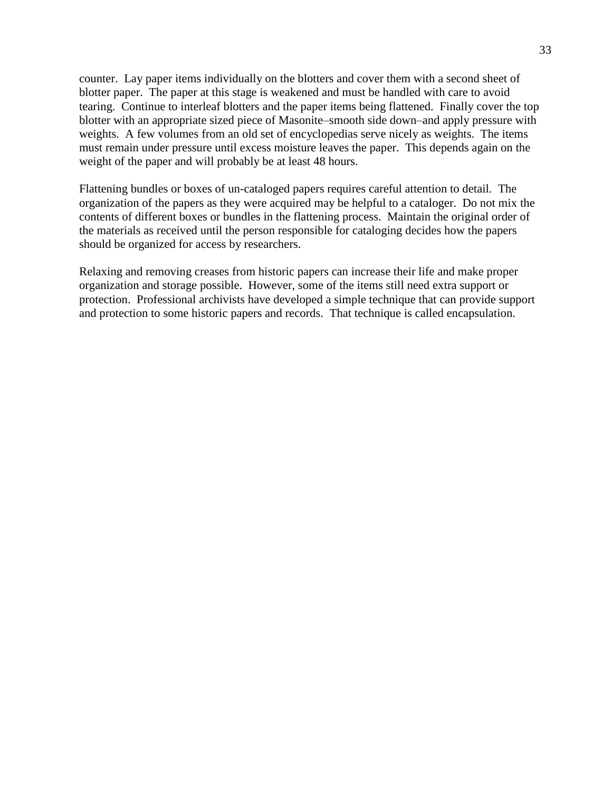counter. Lay paper items individually on the blotters and cover them with a second sheet of blotter paper. The paper at this stage is weakened and must be handled with care to avoid tearing. Continue to interleaf blotters and the paper items being flattened. Finally cover the top blotter with an appropriate sized piece of Masonite–smooth side down–and apply pressure with weights. A few volumes from an old set of encyclopedias serve nicely as weights. The items must remain under pressure until excess moisture leaves the paper. This depends again on the weight of the paper and will probably be at least 48 hours.

Flattening bundles or boxes of un-cataloged papers requires careful attention to detail. The organization of the papers as they were acquired may be helpful to a cataloger. Do not mix the contents of different boxes or bundles in the flattening process. Maintain the original order of the materials as received until the person responsible for cataloging decides how the papers should be organized for access by researchers.

Relaxing and removing creases from historic papers can increase their life and make proper organization and storage possible. However, some of the items still need extra support or protection. Professional archivists have developed a simple technique that can provide support and protection to some historic papers and records. That technique is called encapsulation.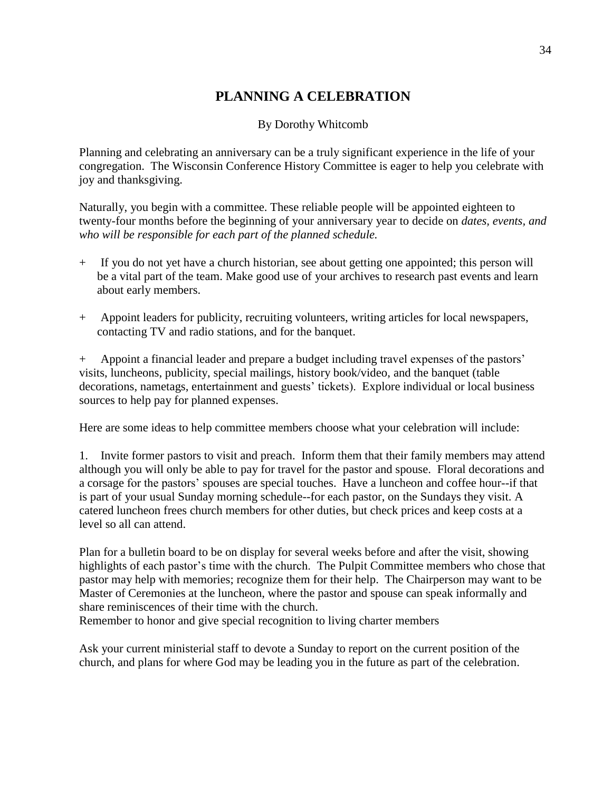## **PLANNING A CELEBRATION**

#### By Dorothy Whitcomb

Planning and celebrating an anniversary can be a truly significant experience in the life of your congregation. The Wisconsin Conference History Committee is eager to help you celebrate with joy and thanksgiving.

Naturally, you begin with a committee. These reliable people will be appointed eighteen to twenty-four months before the beginning of your anniversary year to decide on *dates, events, and who will be responsible for each part of the planned schedule.*

- + If you do not yet have a church historian, see about getting one appointed; this person will be a vital part of the team. Make good use of your archives to research past events and learn about early members.
- + Appoint leaders for publicity, recruiting volunteers, writing articles for local newspapers, contacting TV and radio stations, and for the banquet.

+ Appoint a financial leader and prepare a budget including travel expenses of the pastors' visits, luncheons, publicity, special mailings, history book/video, and the banquet (table decorations, nametags, entertainment and guests' tickets). Explore individual or local business sources to help pay for planned expenses.

Here are some ideas to help committee members choose what your celebration will include:

1. Invite former pastors to visit and preach. Inform them that their family members may attend although you will only be able to pay for travel for the pastor and spouse. Floral decorations and a corsage for the pastors' spouses are special touches. Have a luncheon and coffee hour--if that is part of your usual Sunday morning schedule--for each pastor, on the Sundays they visit. A catered luncheon frees church members for other duties, but check prices and keep costs at a level so all can attend.

Plan for a bulletin board to be on display for several weeks before and after the visit, showing highlights of each pastor's time with the church. The Pulpit Committee members who chose that pastor may help with memories; recognize them for their help. The Chairperson may want to be Master of Ceremonies at the luncheon, where the pastor and spouse can speak informally and share reminiscences of their time with the church.

Remember to honor and give special recognition to living charter members

Ask your current ministerial staff to devote a Sunday to report on the current position of the church, and plans for where God may be leading you in the future as part of the celebration.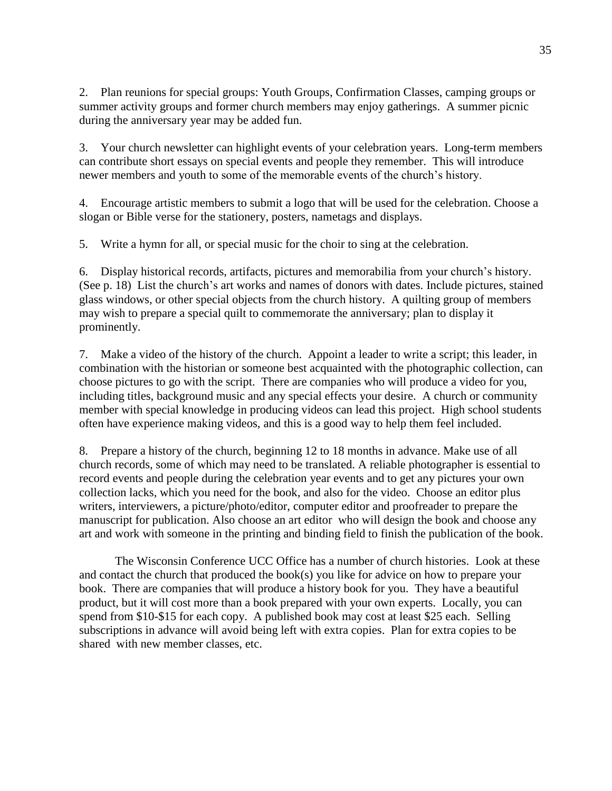2. Plan reunions for special groups: Youth Groups, Confirmation Classes, camping groups or summer activity groups and former church members may enjoy gatherings. A summer picnic during the anniversary year may be added fun.

3. Your church newsletter can highlight events of your celebration years. Long-term members can contribute short essays on special events and people they remember. This will introduce newer members and youth to some of the memorable events of the church's history.

4. Encourage artistic members to submit a logo that will be used for the celebration. Choose a slogan or Bible verse for the stationery, posters, nametags and displays.

5. Write a hymn for all, or special music for the choir to sing at the celebration.

6. Display historical records, artifacts, pictures and memorabilia from your church's history. (See p. 18) List the church's art works and names of donors with dates. Include pictures, stained glass windows, or other special objects from the church history. A quilting group of members may wish to prepare a special quilt to commemorate the anniversary; plan to display it prominently.

7. Make a video of the history of the church. Appoint a leader to write a script; this leader, in combination with the historian or someone best acquainted with the photographic collection, can choose pictures to go with the script. There are companies who will produce a video for you, including titles, background music and any special effects your desire. A church or community member with special knowledge in producing videos can lead this project. High school students often have experience making videos, and this is a good way to help them feel included.

8. Prepare a history of the church, beginning 12 to 18 months in advance. Make use of all church records, some of which may need to be translated. A reliable photographer is essential to record events and people during the celebration year events and to get any pictures your own collection lacks, which you need for the book, and also for the video. Choose an editor plus writers, interviewers, a picture/photo/editor, computer editor and proofreader to prepare the manuscript for publication. Also choose an art editor who will design the book and choose any art and work with someone in the printing and binding field to finish the publication of the book.

The Wisconsin Conference UCC Office has a number of church histories. Look at these and contact the church that produced the book(s) you like for advice on how to prepare your book. There are companies that will produce a history book for you. They have a beautiful product, but it will cost more than a book prepared with your own experts. Locally, you can spend from \$10-\$15 for each copy. A published book may cost at least \$25 each. Selling subscriptions in advance will avoid being left with extra copies. Plan for extra copies to be shared with new member classes, etc.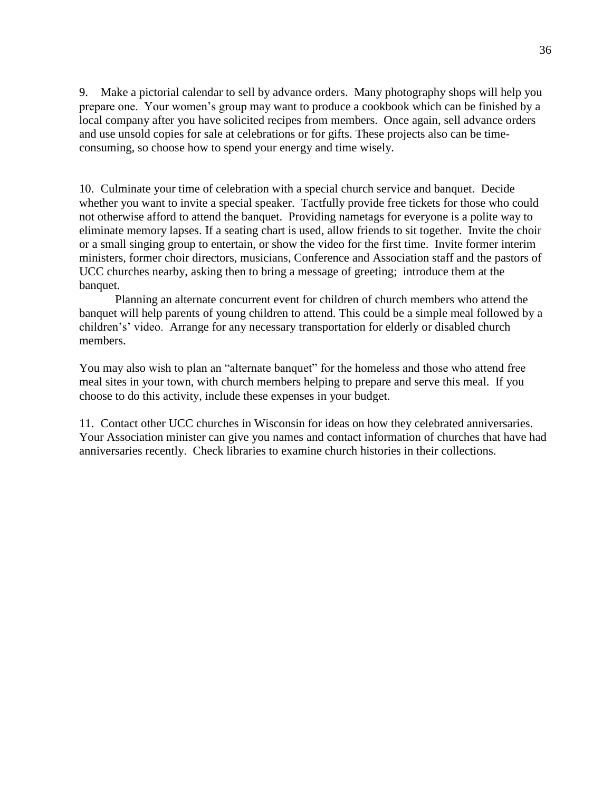9. Make a pictorial calendar to sell by advance orders. Many photography shops will help you prepare one. Your women's group may want to produce a cookbook which can be finished by a local company after you have solicited recipes from members. Once again, sell advance orders and use unsold copies for sale at celebrations or for gifts. These projects also can be timeconsuming, so choose how to spend your energy and time wisely.

10. Culminate your time of celebration with a special church service and banquet. Decide whether you want to invite a special speaker. Tactfully provide free tickets for those who could not otherwise afford to attend the banquet. Providing nametags for everyone is a polite way to eliminate memory lapses. If a seating chart is used, allow friends to sit together. Invite the choir or a small singing group to entertain, or show the video for the first time. Invite former interim ministers, former choir directors, musicians, Conference and Association staff and the pastors of UCC churches nearby, asking then to bring a message of greeting; introduce them at the banquet.

Planning an alternate concurrent event for children of church members who attend the banquet will help parents of young children to attend. This could be a simple meal followed by a children's' video. Arrange for any necessary transportation for elderly or disabled church members.

You may also wish to plan an "alternate banquet" for the homeless and those who attend free meal sites in your town, with church members helping to prepare and serve this meal. If you choose to do this activity, include these expenses in your budget.

11. Contact other UCC churches in Wisconsin for ideas on how they celebrated anniversaries. Your Association minister can give you names and contact information of churches that have had anniversaries recently. Check libraries to examine church histories in their collections.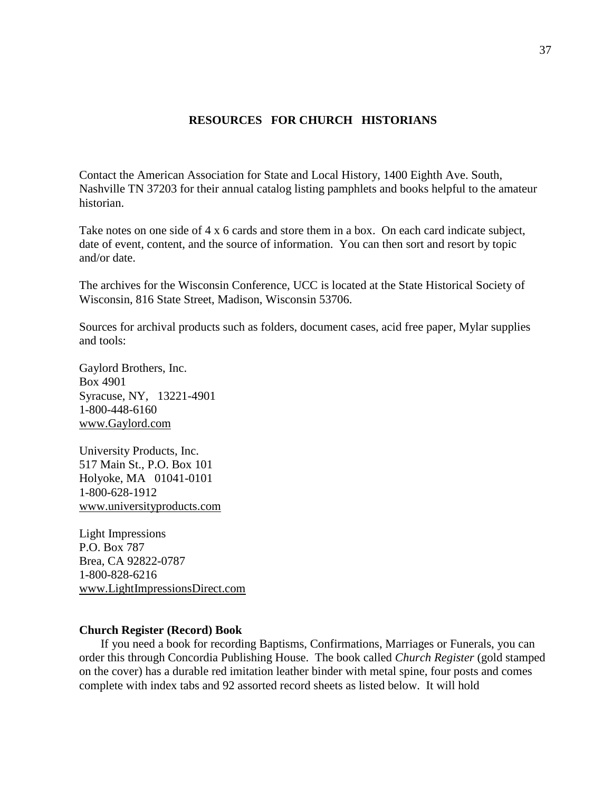#### **RESOURCES FOR CHURCH HISTORIANS**

Contact the American Association for State and Local History, 1400 Eighth Ave. South, Nashville TN 37203 for their annual catalog listing pamphlets and books helpful to the amateur historian.

Take notes on one side of 4 x 6 cards and store them in a box. On each card indicate subject, date of event, content, and the source of information. You can then sort and resort by topic and/or date.

The archives for the Wisconsin Conference, UCC is located at the State Historical Society of Wisconsin, 816 State Street, Madison, Wisconsin 53706.

Sources for archival products such as folders, document cases, acid free paper, Mylar supplies and tools:

Gaylord Brothers, Inc. Box 4901 Syracuse, NY, 13221-4901 1-800-448-6160 www.Gaylord.com

University Products, Inc. 517 Main St., P.O. Box 101 Holyoke, MA 01041-0101 1-800-628-1912 www.universityproducts.com

Light Impressions P.O. Box 787 Brea, CA 92822-0787 1-800-828-6216 www.LightImpressionsDirect.com

#### **Church Register (Record) Book**

If you need a book for recording Baptisms, Confirmations, Marriages or Funerals, you can order this through Concordia Publishing House. The book called *Church Register* (gold stamped on the cover) has a durable red imitation leather binder with metal spine, four posts and comes complete with index tabs and 92 assorted record sheets as listed below. It will hold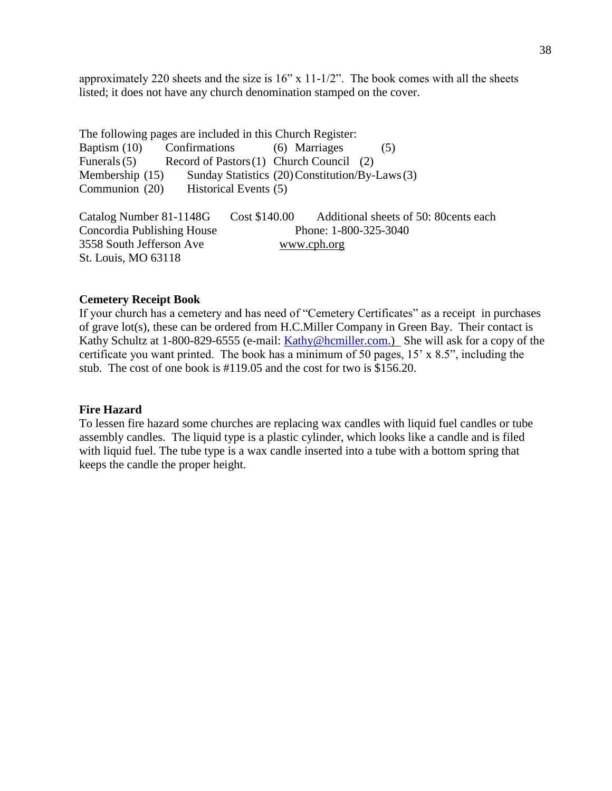approximately 220 sheets and the size is 16" x 11-1/2". The book comes with all the sheets listed; it does not have any church denomination stamped on the cover.

The following pages are included in this Church Register: Baptism (10) Confirmations (6) Marriages (5) Funerals(5) Record of Pastors(1) Church Council (2) Membership (15) Sunday Statistics (20) Constitution/By-Laws(3) Communion (20) Historical Events (5) Catalog Number 81-1148G Cost \$140.00 Additional sheets of 50: 80cents each Concordia Publishing House Phone: 1-800-325-3040 3558 South Jefferson Ave www.cph.org St. Louis, MO 63118

#### **Cemetery Receipt Book**

If your church has a cemetery and has need of "Cemetery Certificates" as a receipt in purchases of grave lot(s), these can be ordered from H.C.Miller Company in Green Bay. Their contact is Kathy Schultz at 1-800-829-6555 (e-mail: [Kathy@hcmiller.com.](mailto:Kathy@hcmiller.com)) She will ask for a copy of the certificate you want printed. The book has a minimum of 50 pages, 15' x 8.5", including the stub. The cost of one book is #119.05 and the cost for two is \$156.20.

#### **Fire Hazard**

To lessen fire hazard some churches are replacing wax candles with liquid fuel candles or tube assembly candles. The liquid type is a plastic cylinder, which looks like a candle and is filed with liquid fuel. The tube type is a wax candle inserted into a tube with a bottom spring that keeps the candle the proper height.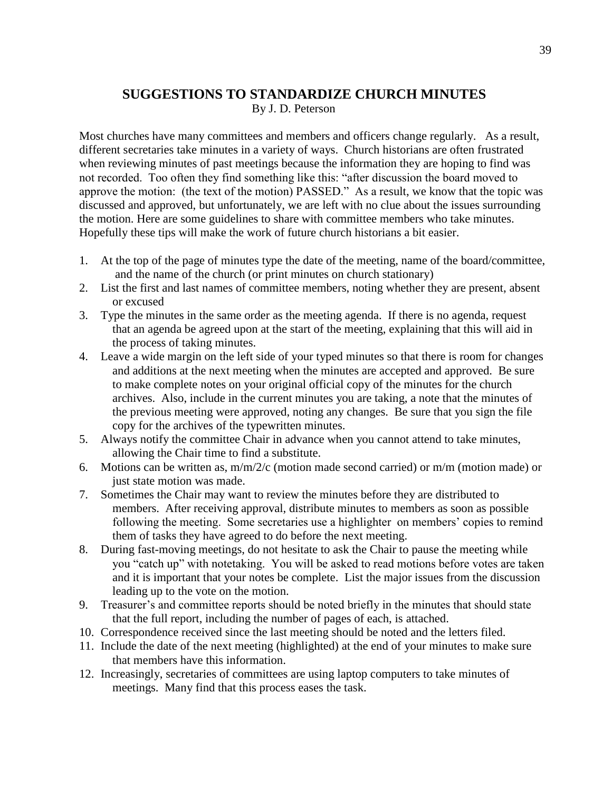## **SUGGESTIONS TO STANDARDIZE CHURCH MINUTES**

By J. D. Peterson

Most churches have many committees and members and officers change regularly. As a result, different secretaries take minutes in a variety of ways. Church historians are often frustrated when reviewing minutes of past meetings because the information they are hoping to find was not recorded. Too often they find something like this: "after discussion the board moved to approve the motion: (the text of the motion) PASSED." As a result, we know that the topic was discussed and approved, but unfortunately, we are left with no clue about the issues surrounding the motion. Here are some guidelines to share with committee members who take minutes. Hopefully these tips will make the work of future church historians a bit easier.

- 1. At the top of the page of minutes type the date of the meeting, name of the board/committee, and the name of the church (or print minutes on church stationary)
- 2. List the first and last names of committee members, noting whether they are present, absent or excused
- 3. Type the minutes in the same order as the meeting agenda. If there is no agenda, request that an agenda be agreed upon at the start of the meeting, explaining that this will aid in the process of taking minutes.
- 4. Leave a wide margin on the left side of your typed minutes so that there is room for changes and additions at the next meeting when the minutes are accepted and approved. Be sure to make complete notes on your original official copy of the minutes for the church archives. Also, include in the current minutes you are taking, a note that the minutes of the previous meeting were approved, noting any changes. Be sure that you sign the file copy for the archives of the typewritten minutes.
- 5. Always notify the committee Chair in advance when you cannot attend to take minutes, allowing the Chair time to find a substitute.
- 6. Motions can be written as,  $m/m/2/c$  (motion made second carried) or  $m/m$  (motion made) or just state motion was made.
- 7. Sometimes the Chair may want to review the minutes before they are distributed to members. After receiving approval, distribute minutes to members as soon as possible following the meeting. Some secretaries use a highlighter on members' copies to remind them of tasks they have agreed to do before the next meeting.
- 8. During fast-moving meetings, do not hesitate to ask the Chair to pause the meeting while you "catch up" with notetaking. You will be asked to read motions before votes are taken and it is important that your notes be complete. List the major issues from the discussion leading up to the vote on the motion.
- 9. Treasurer's and committee reports should be noted briefly in the minutes that should state that the full report, including the number of pages of each, is attached.
- 10. Correspondence received since the last meeting should be noted and the letters filed.
- 11. Include the date of the next meeting (highlighted) at the end of your minutes to make sure that members have this information.
- 12. Increasingly, secretaries of committees are using laptop computers to take minutes of meetings. Many find that this process eases the task.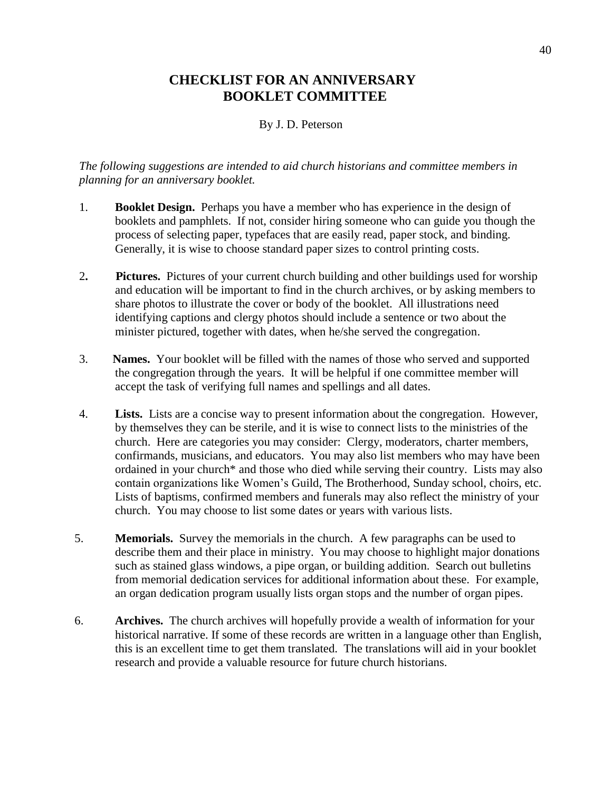## **CHECKLIST FOR AN ANNIVERSARY BOOKLET COMMITTEE**

#### By J. D. Peterson

*The following suggestions are intended to aid church historians and committee members in planning for an anniversary booklet.*

- 1. **Booklet Design.** Perhaps you have a member who has experience in the design of booklets and pamphlets. If not, consider hiring someone who can guide you though the process of selecting paper, typefaces that are easily read, paper stock, and binding. Generally, it is wise to choose standard paper sizes to control printing costs.
- 2**. Pictures.** Pictures of your current church building and other buildings used for worship and education will be important to find in the church archives, or by asking members to share photos to illustrate the cover or body of the booklet. All illustrations need identifying captions and clergy photos should include a sentence or two about the minister pictured, together with dates, when he/she served the congregation.
- 3. **Names.** Your booklet will be filled with the names of those who served and supported the congregation through the years. It will be helpful if one committee member will accept the task of verifying full names and spellings and all dates.
- 4. **Lists.** Lists are a concise way to present information about the congregation. However, by themselves they can be sterile, and it is wise to connect lists to the ministries of the church. Here are categories you may consider: Clergy, moderators, charter members, confirmands, musicians, and educators. You may also list members who may have been ordained in your church\* and those who died while serving their country. Lists may also contain organizations like Women's Guild, The Brotherhood, Sunday school, choirs, etc. Lists of baptisms, confirmed members and funerals may also reflect the ministry of your church. You may choose to list some dates or years with various lists.
- 5. **Memorials.** Survey the memorials in the church. A few paragraphs can be used to describe them and their place in ministry. You may choose to highlight major donations such as stained glass windows, a pipe organ, or building addition. Search out bulletins from memorial dedication services for additional information about these. For example, an organ dedication program usually lists organ stops and the number of organ pipes.
- 6. **Archives.** The church archives will hopefully provide a wealth of information for your historical narrative. If some of these records are written in a language other than English, this is an excellent time to get them translated. The translations will aid in your booklet research and provide a valuable resource for future church historians.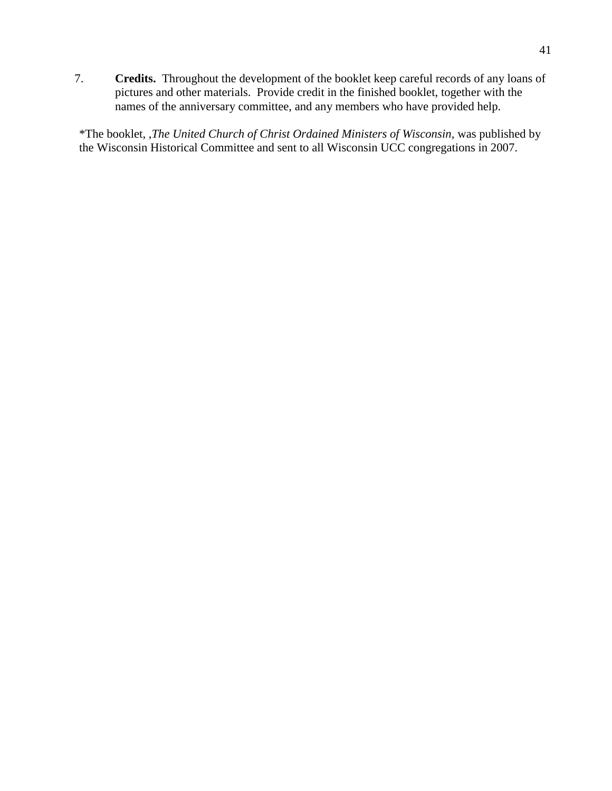7. **Credits.** Throughout the development of the booklet keep careful records of any loans of pictures and other materials. Provide credit in the finished booklet, together with the names of the anniversary committee, and any members who have provided help.

\*The booklet, ,*The United Church of Christ Ordained Ministers of Wisconsin,* was published by the Wisconsin Historical Committee and sent to all Wisconsin UCC congregations in 2007.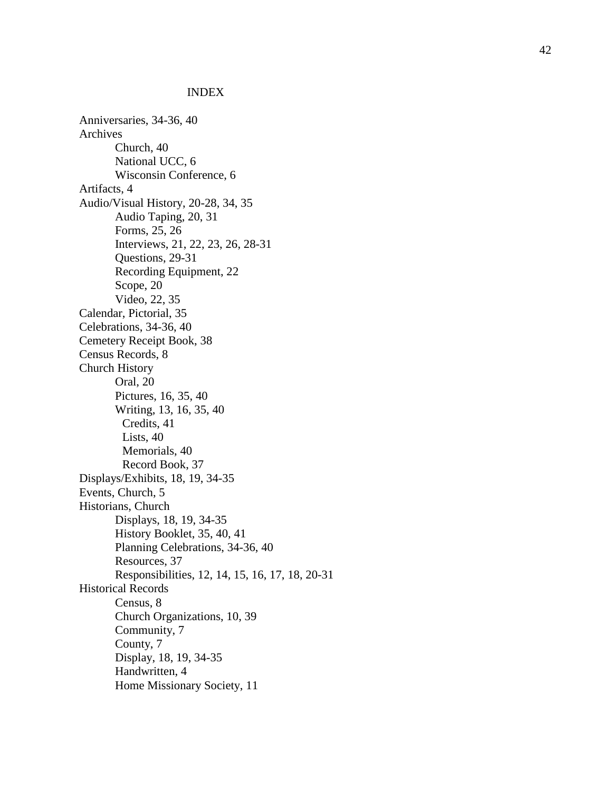#### INDEX

Anniversaries, 3 4 - 3 6, 40 Archives Church, 40 National UCC, 6 Wisconsin Conference, 6 Artifacts, 4 Audio/Visual History, 20 -28, 34, 35 Audio Taping, 20, 31 Form s, 2 5, 2 6 Interviews, 2 1, 2 2, 2 3, 26, 28 -31 Questions, 29-31 Recording Equipment, 2 2 Scope, 20 Video, 22, 35 Calendar, Pictorial, 35 Celebrations, 34-36, 40 Cemetery Receipt Book, 3 8 Census Records, 8 Church History Oral, 20 Pictures, 16, 35, 40 Writing, 13, 1 6, 3 5, 40 Credits, 41 Lists, 40 Memorials, 4 0 Record Book, 37 Displays/Exhibits, 18, 19, 34 -35 Events, Church, 5 Historians, Church Displays, 1 8, 1 9, 34 -35 History Booklet, 35, 40, 41 Planning Celebrations, 34-36, 40 Resources, 3 7 Responsibilities, 12, 14, 15, 16, 17, 18, 20 - 3 1 Historical Records Census, 8 Church Organizations, 10, 39 Community, 7 County, 7 Display, 18, 19, 34-35 Handwritten, 4 Home Missionary Society, 11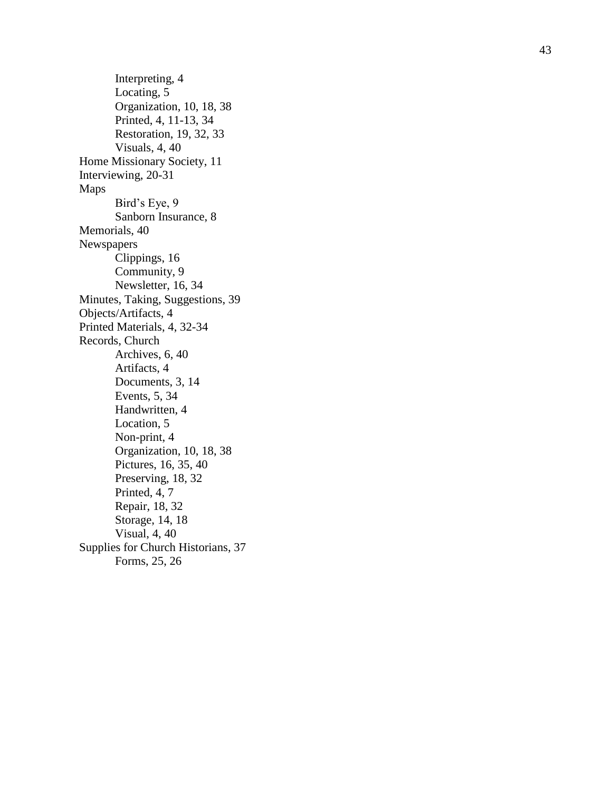Interpreting, 4 Locating, 5 Organization, 10, 18, 38 Printed, 4, 11 -13, 34 Restoration, 19, 3 2, 3 3 Visuals, 4, 40 Home Missionary Society, 11 Interviewing, 20-31 Maps Bird's Eye, 9 Sanborn Insurance, 8 Memorials, 40 Newspapers Clippings, 1 6 Community, 9 Newsletter, 16, 3 4 Minutes, Taking, Suggestions, 3 9 Objects/Artifacts, 4 Printed Materials, 4, 32 -34 Records, Church Archives, 6, 40 Artifacts, 4 Documents, 3, 14 Events, 5, 3 4 Handwritten, 4 Location, 5 Non -print, 4 Organization, 10, 1 8, 38 Pictures, 16, 35, 40 Preserving, 18, 32 Printed, 4, 7 Repair, 18, 3 2 Storage, 14, 1 8 Visual, 4, 40 Supplies for Church Historians, 3 7 Forms, 2 5, 2 6